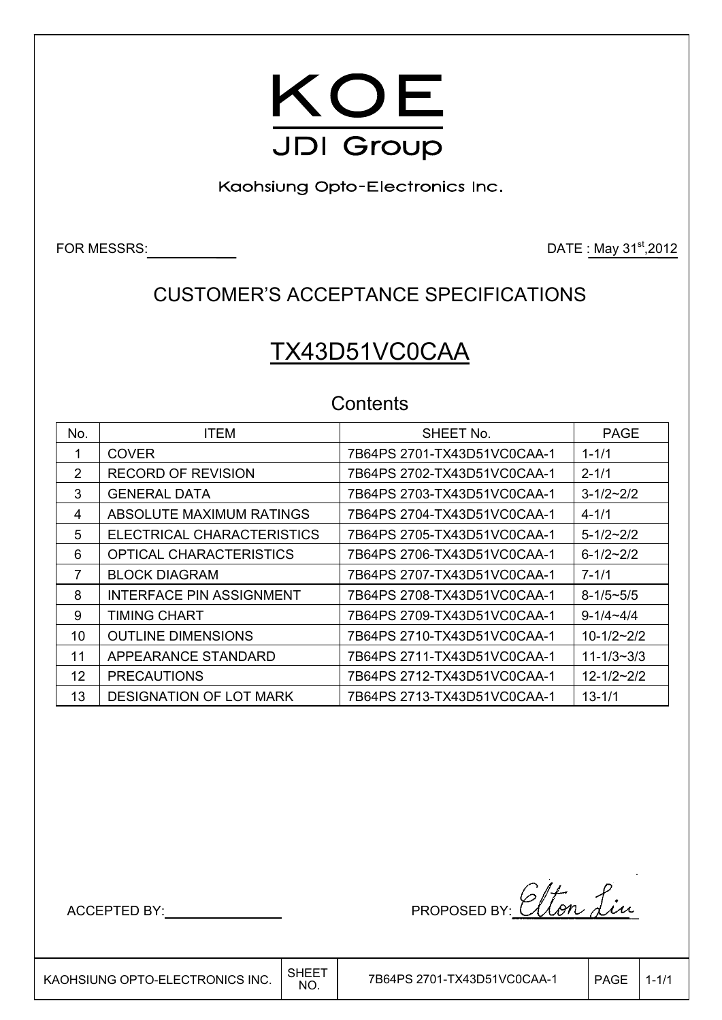

Kaohsiung Opto-Electronics Inc.

FOR MESSRS: DATE: May 31<sup>st</sup>,2012

## CUSTOMER'S ACCEPTANCE SPECIFICATIONS

# TX43D51VC0CAA

## **Contents**

| No. | <b>ITEM</b>                     | SHEET No.                   | <b>PAGE</b>        |
|-----|---------------------------------|-----------------------------|--------------------|
|     |                                 |                             |                    |
|     | <b>COVER</b>                    | 7B64PS 2701-TX43D51VC0CAA-1 | $1 - 1/1$          |
| 2   | <b>RECORD OF REVISION</b>       | 7B64PS 2702-TX43D51VC0CAA-1 | $2 - 1/1$          |
| 3   | <b>GENERAL DATA</b>             | 7B64PS 2703-TX43D51VC0CAA-1 | $3 - 1/2 \sim 2/2$ |
| 4   | ABSOLUTE MAXIMUM RATINGS        | 7B64PS 2704-TX43D51VC0CAA-1 | $4 - 1/1$          |
| 5   | ELECTRICAL CHARACTERISTICS      | 7B64PS 2705-TX43D51VC0CAA-1 | $5 - 1/2 - 2/2$    |
| 6   | OPTICAL CHARACTERISTICS         | 7B64PS 2706-TX43D51VC0CAA-1 | $6 - 1/2 \sim 2/2$ |
| 7   | <b>BLOCK DIAGRAM</b>            | 7B64PS 2707-TX43D51VC0CAA-1 | $7 - 1/1$          |
| 8   | <b>INTERFACE PIN ASSIGNMENT</b> | 7B64PS 2708-TX43D51VC0CAA-1 | $8 - 1/5 \sim 5/5$ |
| 9   | TIMING CHART                    | 7B64PS 2709-TX43D51VC0CAA-1 | $9 - 1/4 - 4/4$    |
| 10  | <b>OUTLINE DIMENSIONS</b>       | 7B64PS 2710-TX43D51VC0CAA-1 | $10 - 1/2 - 2/2$   |
| 11  | APPEARANCE STANDARD             | 7B64PS 2711-TX43D51VC0CAA-1 | $11 - 1/3 - 3/3$   |
| 12  | <b>PRECAUTIONS</b>              | 7B64PS 2712-TX43D51VC0CAA-1 | $12 - 1/2 - 2/2$   |
| 13  | <b>DESIGNATION OF LOT MARK</b>  | 7B64PS 2713-TX43D51VC0CAA-1 | $13 - 1/1$         |

ACCEPTED BY: NORTH PROPOSED BY: Elton Lin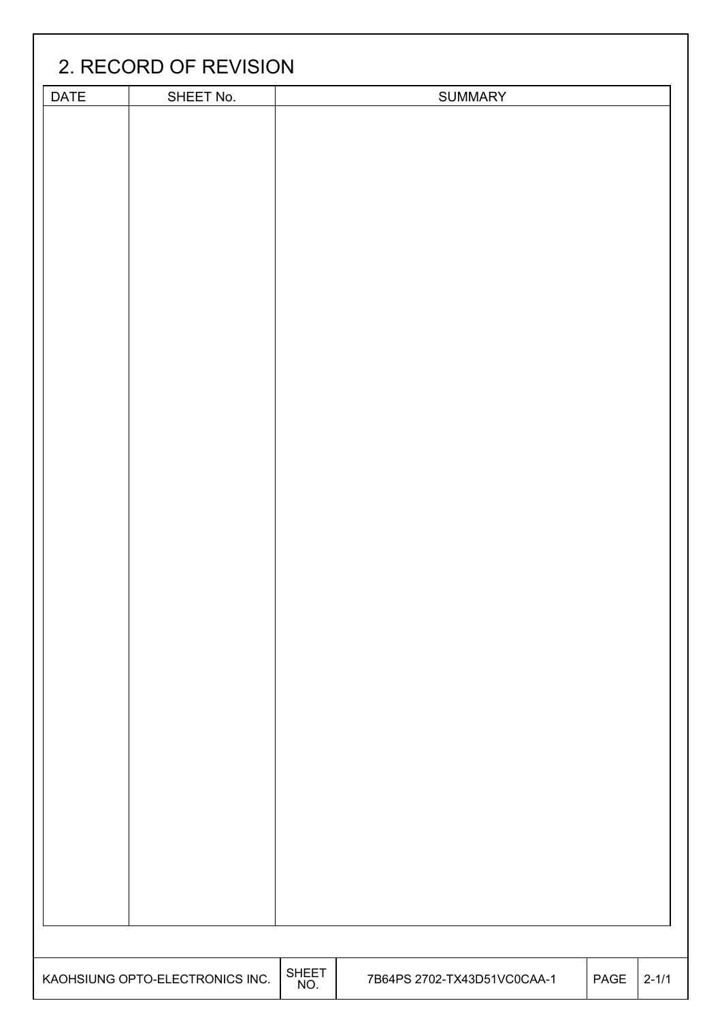|                                 | 2. RECORD OF REVISION |                     |                             |      |           |  |  |  |
|---------------------------------|-----------------------|---------------------|-----------------------------|------|-----------|--|--|--|
| <b>DATE</b>                     | SHEET No.             |                     | <b>SUMMARY</b>              |      |           |  |  |  |
|                                 |                       |                     |                             |      |           |  |  |  |
|                                 |                       |                     |                             |      |           |  |  |  |
|                                 |                       |                     |                             |      |           |  |  |  |
|                                 |                       |                     |                             |      |           |  |  |  |
|                                 |                       |                     |                             |      |           |  |  |  |
|                                 |                       |                     |                             |      |           |  |  |  |
|                                 |                       |                     |                             |      |           |  |  |  |
|                                 |                       |                     |                             |      |           |  |  |  |
|                                 |                       |                     |                             |      |           |  |  |  |
|                                 |                       |                     |                             |      |           |  |  |  |
|                                 |                       |                     |                             |      |           |  |  |  |
|                                 |                       |                     |                             |      |           |  |  |  |
|                                 |                       |                     |                             |      |           |  |  |  |
|                                 |                       |                     |                             |      |           |  |  |  |
|                                 |                       |                     |                             |      |           |  |  |  |
|                                 |                       |                     |                             |      |           |  |  |  |
|                                 |                       |                     |                             |      |           |  |  |  |
|                                 |                       |                     |                             |      |           |  |  |  |
|                                 |                       |                     |                             |      |           |  |  |  |
|                                 |                       |                     |                             |      |           |  |  |  |
|                                 |                       |                     |                             |      |           |  |  |  |
|                                 |                       |                     |                             |      |           |  |  |  |
|                                 |                       |                     |                             |      |           |  |  |  |
|                                 |                       |                     |                             |      |           |  |  |  |
|                                 |                       |                     |                             |      |           |  |  |  |
|                                 |                       |                     |                             |      |           |  |  |  |
|                                 |                       |                     |                             |      |           |  |  |  |
|                                 |                       |                     |                             |      |           |  |  |  |
|                                 |                       |                     |                             |      |           |  |  |  |
|                                 |                       |                     |                             |      |           |  |  |  |
|                                 |                       |                     |                             |      |           |  |  |  |
|                                 |                       |                     |                             |      |           |  |  |  |
|                                 |                       |                     |                             |      |           |  |  |  |
|                                 |                       |                     |                             |      |           |  |  |  |
|                                 |                       |                     |                             |      |           |  |  |  |
|                                 |                       |                     |                             |      |           |  |  |  |
|                                 |                       |                     |                             |      |           |  |  |  |
|                                 |                       |                     |                             |      |           |  |  |  |
|                                 |                       |                     |                             |      |           |  |  |  |
|                                 |                       |                     |                             |      |           |  |  |  |
| KAOHSIUNG OPTO-ELECTRONICS INC. |                       | <b>SHEET</b><br>NO. | 7B64PS 2702-TX43D51VC0CAA-1 | PAGE | $2 - 1/1$ |  |  |  |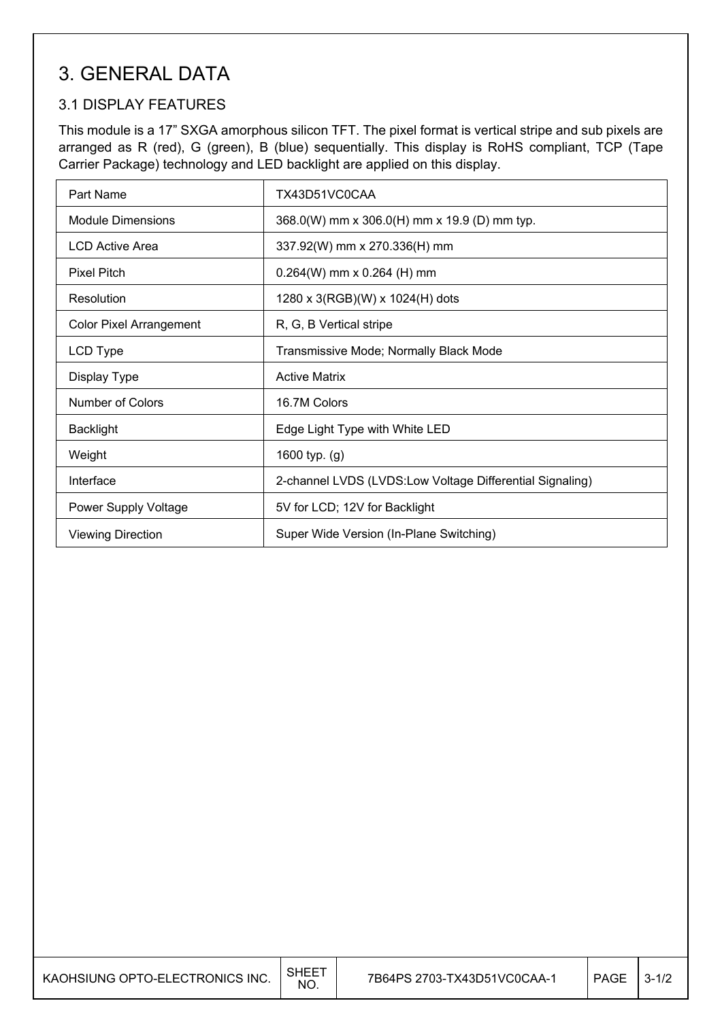## 3. GENERAL DATA

## 3.1 DISPLAY FEATURES

This module is a 17" SXGA amorphous silicon TFT. The pixel format is vertical stripe and sub pixels are arranged as R (red), G (green), B (blue) sequentially. This display is RoHS compliant, TCP (Tape Carrier Package) technology and LED backlight are applied on this display.

| Part Name                                                           | TX43D51VC0CAA                                            |  |
|---------------------------------------------------------------------|----------------------------------------------------------|--|
| <b>Module Dimensions</b>                                            | 368.0(W) mm x 306.0(H) mm x 19.9 (D) mm typ.             |  |
| LCD Active Area                                                     | 337.92(W) mm x 270.336(H) mm                             |  |
| <b>Pixel Pitch</b>                                                  | $0.264(W)$ mm x 0.264 (H) mm                             |  |
| Resolution                                                          | 1280 x 3(RGB)(W) x 1024(H) dots                          |  |
| <b>Color Pixel Arrangement</b>                                      | R, G, B Vertical stripe                                  |  |
| LCD Type                                                            | Transmissive Mode; Normally Black Mode                   |  |
| Display Type                                                        | <b>Active Matrix</b>                                     |  |
| Number of Colors                                                    | 16.7M Colors                                             |  |
| <b>Backlight</b>                                                    | Edge Light Type with White LED                           |  |
| Weight                                                              | 1600 typ. (g)                                            |  |
| Interface                                                           | 2-channel LVDS (LVDS:Low Voltage Differential Signaling) |  |
| Power Supply Voltage                                                | 5V for LCD; 12V for Backlight                            |  |
| Super Wide Version (In-Plane Switching)<br><b>Viewing Direction</b> |                                                          |  |

| KAOHSIUNG OPTO-ELECTRONICS INC. | SHEE<br><b>NO</b> | 7B64PS 2703-TX43D51VC0CAA-1 | PAGE | $3 - 1/2$ |
|---------------------------------|-------------------|-----------------------------|------|-----------|
|---------------------------------|-------------------|-----------------------------|------|-----------|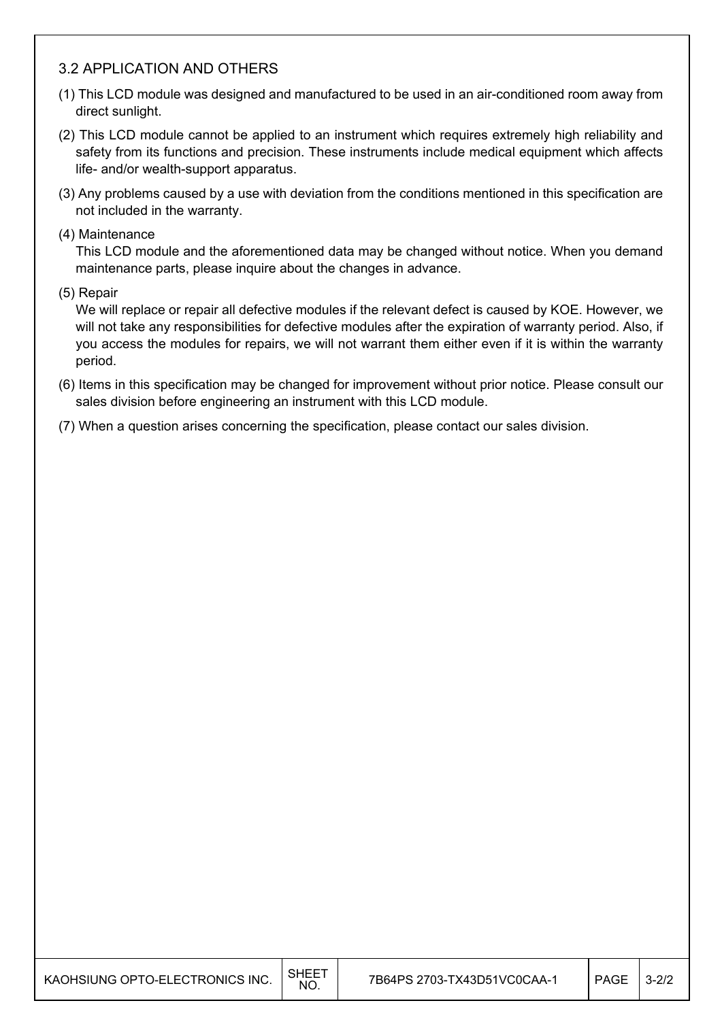#### 3.2 APPLICATION AND OTHERS

- (1) This LCD module was designed and manufactured to be used in an air-conditioned room away from direct sunlight.
- (2) This LCD module cannot be applied to an instrument which requires extremely high reliability and safety from its functions and precision. These instruments include medical equipment which affects life- and/or wealth-support apparatus.
- (3) Any problems caused by a use with deviation from the conditions mentioned in this specification are not included in the warranty.
- (4) Maintenance

This LCD module and the aforementioned data may be changed without notice. When you demand maintenance parts, please inquire about the changes in advance.

(5) Repair

We will replace or repair all defective modules if the relevant defect is caused by KOE. However, we will not take any responsibilities for defective modules after the expiration of warranty period. Also, if you access the modules for repairs, we will not warrant them either even if it is within the warranty period.

- (6) Items in this specification may be changed for improvement without prior notice. Please consult our sales division before engineering an instrument with this LCD module.
- (7) When a question arises concerning the specification, please contact our sales division.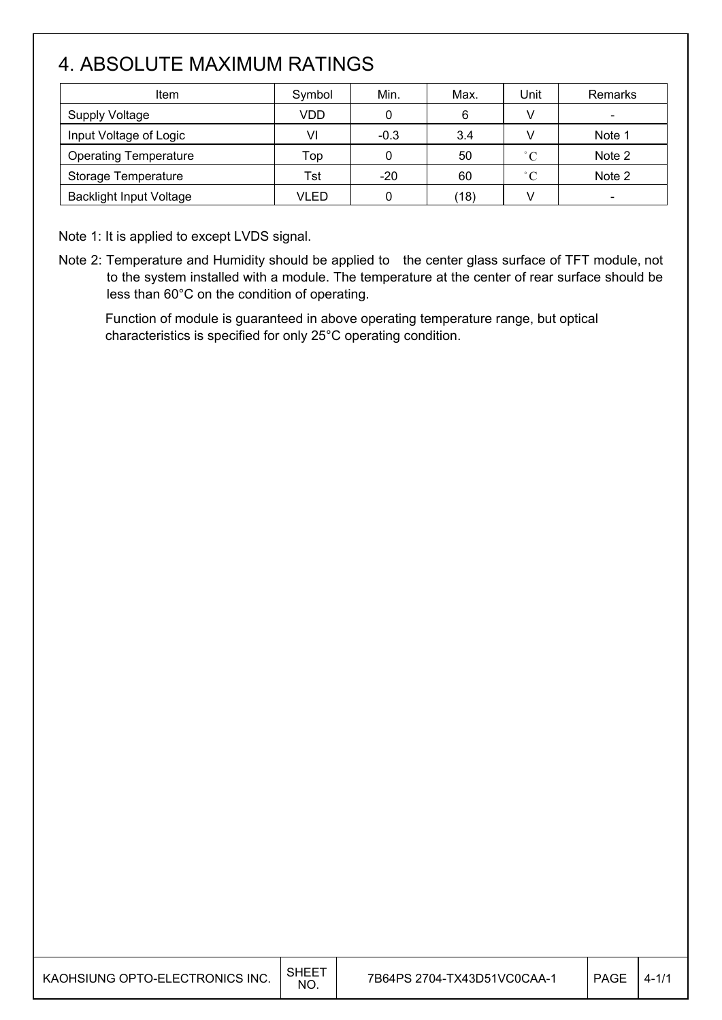# 4. ABSOLUTE MAXIMUM RATINGS

| Item                           | Symbol | Min.   | Max. | Unit              | Remarks                  |
|--------------------------------|--------|--------|------|-------------------|--------------------------|
| <b>Supply Voltage</b>          | VDD    | 0      | 6    |                   | $\overline{\phantom{0}}$ |
| Input Voltage of Logic         | VI     | $-0.3$ | 3.4  |                   | Note 1                   |
| <b>Operating Temperature</b>   | Top    |        | 50   | $^{\circ}C$       | Note 2                   |
| Storage Temperature            | Tst    | $-20$  | 60   | $^{\circ}$ $\cap$ | Note 2                   |
| <b>Backlight Input Voltage</b> | VLED   |        | (18) |                   |                          |

Note 1: It is applied to except LVDS signal.

Note 2: Temperature and Humidity should be applied to the center glass surface of TFT module, not to the system installed with a module. The temperature at the center of rear surface should be less than 60°C on the condition of operating.

Function of module is guaranteed in above operating temperature range, but optical characteristics is specified for only 25°C operating condition.

| KAOHSIUNG OPTO-ELECTRONICS INC. | SHEE1<br>NO. | 7B64PS 2704-TX43D51VC0CAA-1 | <b>PAGE</b> | $4 - 1/1$ |
|---------------------------------|--------------|-----------------------------|-------------|-----------|
|---------------------------------|--------------|-----------------------------|-------------|-----------|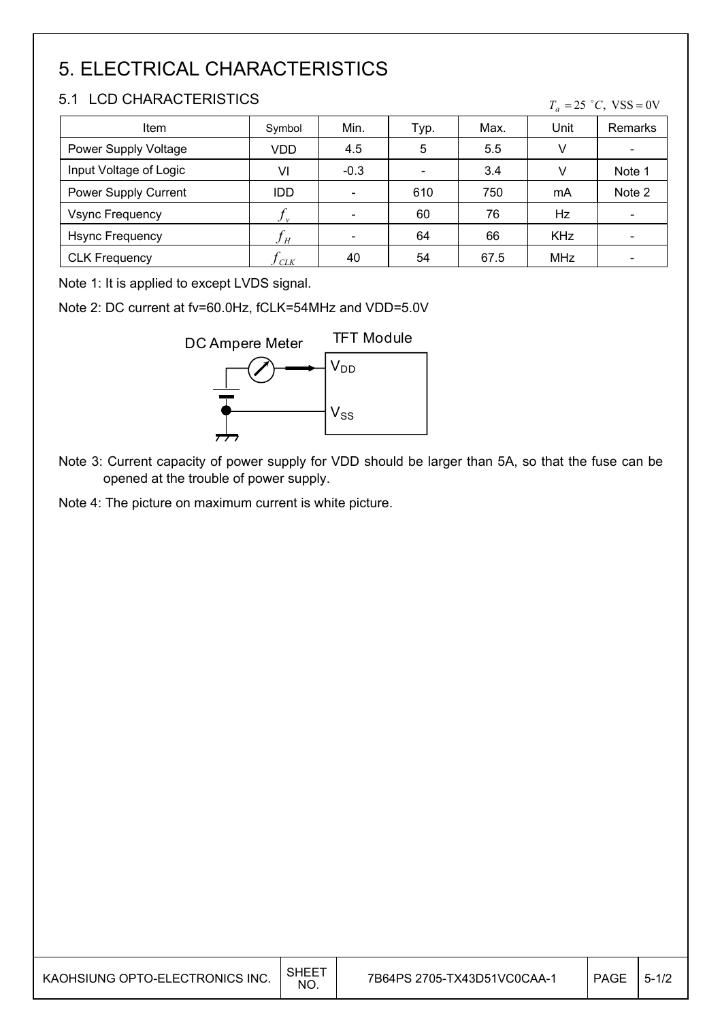# 5. ELECTRICAL CHARACTERISTICS

## 5.1 LCD CHARACTERISTICS

| <b>Item</b>            | Symbol | Min.   | Typ.                     | Max. | Unit       | Remarks                      |
|------------------------|--------|--------|--------------------------|------|------------|------------------------------|
| Power Supply Voltage   | VDD    | 4.5    | 5                        | 5.5  | V          |                              |
| Input Voltage of Logic | VI     | $-0.3$ | $\overline{\phantom{a}}$ | 3.4  | V          | Note 1                       |
| Power Supply Current   | IDD.   |        | 610                      | 750  | mA         | Note 2                       |
| <b>Vsync Frequency</b> |        |        | 60                       | 76   | Hz         | $\qquad \qquad \blacksquare$ |
| <b>Hsync Frequency</b> | $J_H$  |        | 64                       | 66   | <b>KHz</b> |                              |
| <b>CLK Frequency</b>   | CLK    | 40     | 54                       | 67.5 | <b>MHz</b> |                              |

Note 1: It is applied to except LVDS signal.

Note 2: DC current at fv=60.0Hz, fCLK=54MHz and VDD=5.0V



Note 3: Current capacity of power supply for VDD should be larger than 5A, so that the fuse can be opened at the trouble of power supply.

Note 4: The picture on maximum current is white picture.

| KAOHSIUNG OPTO-ELECTRONICS INC. | <b>SHEET</b><br>NO. | 7B64PS 2705-TX43D51VC0CAA-1 | PAGE | $5 - 1/2$ |
|---------------------------------|---------------------|-----------------------------|------|-----------|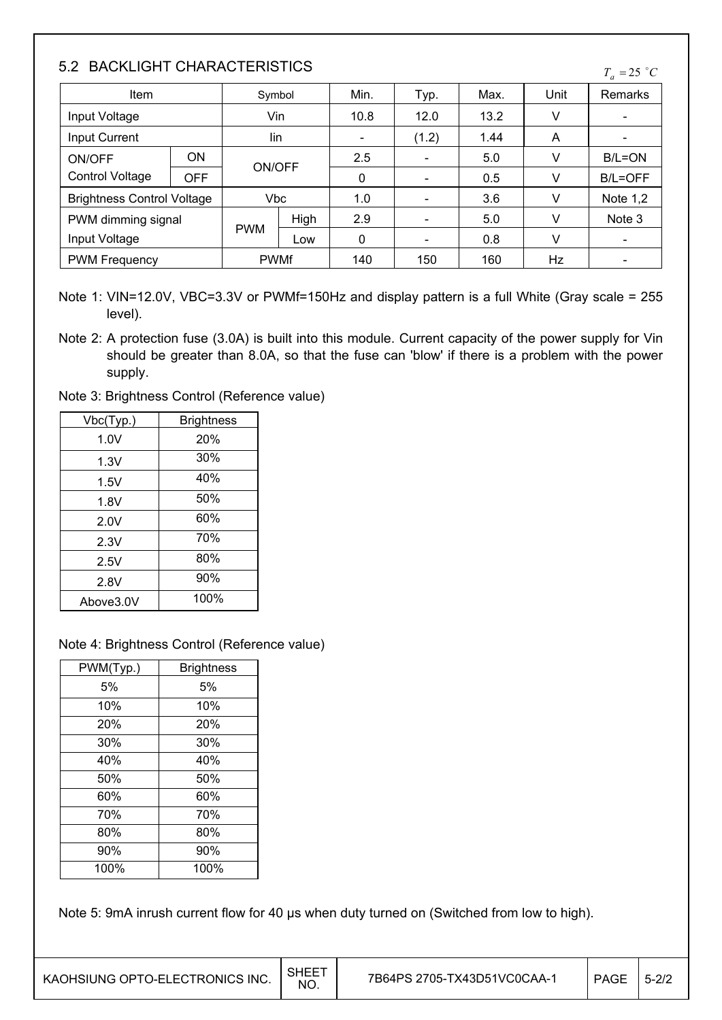## 5.2 BACKLIGHT CHARACTERISTICS

| <u>J.Z DAUNLIUNI UNANAUTENIJITUJ</u> |            |               |      |                          |       |      | $T_a = 25$ °C |            |
|--------------------------------------|------------|---------------|------|--------------------------|-------|------|---------------|------------|
| Item                                 |            | Symbol        |      | Min.                     | Typ.  | Max. | Unit          | Remarks    |
| Input Voltage                        |            | Vin           |      | 10.8                     | 12.0  | 13.2 | v             |            |
| <b>Input Current</b>                 |            | lin           |      | $\overline{\phantom{a}}$ | (1.2) | 1.44 | A             |            |
| ON/OFF                               | <b>ON</b>  | <b>ON/OFF</b> |      | 2.5                      |       | 5.0  | v             | B/L=ON     |
| <b>Control Voltage</b>               | <b>OFF</b> |               |      | 0                        |       | 0.5  | v             | B/L=OFF    |
| <b>Brightness Control Voltage</b>    |            | Vbc           |      | 1.0                      |       | 3.6  | V             | Note $1,2$ |
| PWM dimming signal                   |            |               | High | 2.9                      |       | 5.0  | v             | Note 3     |
| <b>PWM</b><br>Input Voltage<br>Low   |            | 0             |      | 0.8                      | V     |      |               |            |
| <b>PWM Frequency</b>                 |            | <b>PWMf</b>   |      | 140                      | 150   | 160  | Hz            |            |

Note 1: VIN=12.0V, VBC=3.3V or PWMf=150Hz and display pattern is a full White (Gray scale = 255 level).

Note 2: A protection fuse (3.0A) is built into this module. Current capacity of the power supply for Vin should be greater than 8.0A, so that the fuse can 'blow' if there is a problem with the power supply.

Note 3: Brightness Control (Reference value)

| Vbc(Typ.) | <b>Brightness</b> |
|-----------|-------------------|
| 1.0V      | 20%               |
| 1.3V      | 30%               |
| 1.5V      | 40%               |
| 1.8V      | 50%               |
| 2.0V      | 60%               |
| 2.3V      | 70%               |
| 2.5V      | 80%               |
| 2.8V      | 90%               |
| Above3.0V | 100%              |

#### Note 4: Brightness Control (Reference value)

| PWM(Typ.) | <b>Brightness</b> |
|-----------|-------------------|
| 5%        | 5%                |
| 10%       | 10%               |
| 20%       | 20%               |
| 30%       | 30%               |
| 40%       | 40%               |
| 50%       | 50%               |
| 60%       | 60%               |
| 70%       | 70%               |
| 80%       | 80%               |
| 90%       | 90%               |
| 100%      | 100%              |

Note 5: 9mA inrush current flow for 40 µs when duty turned on (Switched from low to high).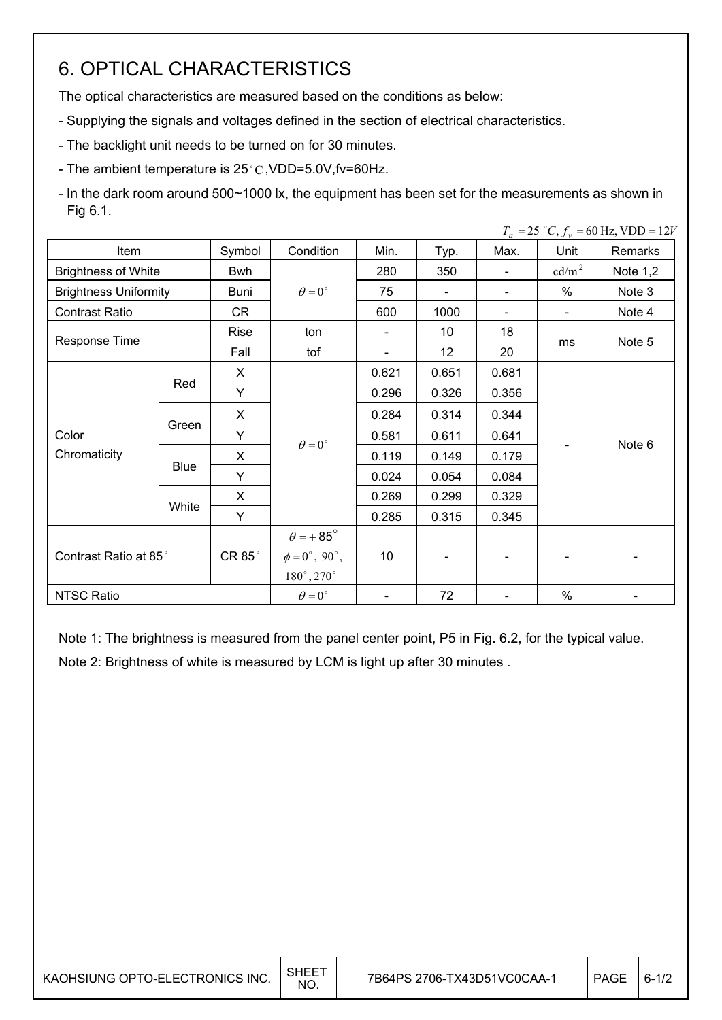# 6. OPTICAL CHARACTERISTICS

The optical characteristics are measured based on the conditions as below:

- Supplying the signals and voltages defined in the section of electrical characteristics.

- The backlight unit needs to be turned on for 30 minutes.
- The ambient temperature is  $25^{\circ}$ C, VDD=5.0V, fv=60Hz.
- In the dark room around 500~1000 lx, the equipment has been set for the measurements as shown in Fig 6.1.

| $T_a = 25$ °C, $f_v = 60$ Hz, VDD = 12V |             |        |                         |                          |                          |                          |                   |            |
|-----------------------------------------|-------------|--------|-------------------------|--------------------------|--------------------------|--------------------------|-------------------|------------|
| Item                                    |             | Symbol | Condition               | Min.                     | Typ.                     | Max.                     | Unit              | Remarks    |
| <b>Brightness of White</b>              |             | Bwh    |                         | 280                      | 350                      | $\overline{\phantom{a}}$ | cd/m <sup>2</sup> | Note $1,2$ |
| <b>Brightness Uniformity</b>            |             | Buni   | $\theta = 0^{\circ}$    | 75                       | $\overline{\phantom{0}}$ | $\overline{\phantom{a}}$ | %                 | Note 3     |
| <b>Contrast Ratio</b>                   |             | CR     |                         | 600                      | 1000                     |                          |                   | Note 4     |
|                                         |             | Rise   | ton                     | $\overline{\phantom{a}}$ | 10                       | 18                       |                   |            |
| Response Time                           |             | Fall   | tof                     | $\overline{\phantom{a}}$ | 12                       | 20                       | ms                | Note 5     |
|                                         |             | X      | $\theta = 0^{\circ}$    | 0.621                    | 0.651                    | 0.681                    |                   | Note 6     |
|                                         | Red         | Y      |                         | 0.296                    | 0.326                    | 0.356                    |                   |            |
|                                         | Green       | X      |                         | 0.284                    | 0.314                    | 0.344                    |                   |            |
| Color                                   |             | Y      |                         | 0.581                    | 0.611                    | 0.641                    |                   |            |
| Chromaticity                            | <b>Blue</b> | X      |                         | 0.119                    | 0.149                    | 0.179                    |                   |            |
|                                         |             | Y      |                         | 0.024                    | 0.054                    | 0.084                    |                   |            |
|                                         |             | X      |                         | 0.269                    | 0.299                    | 0.329                    |                   |            |
|                                         | White       | Y      |                         | 0.285                    | 0.315                    | 0.345                    |                   |            |
| Contrast Ratio at 85°                   |             |        | $\theta = +85^\circ$    |                          |                          |                          |                   |            |
|                                         |             | CR 85° | $\phi = 0^\circ$ , 90°, | 10 <sup>°</sup>          |                          |                          |                   |            |
|                                         |             |        | $180^\circ, 270^\circ$  |                          |                          |                          |                   |            |
| <b>NTSC Ratio</b>                       |             |        | $\theta = 0^{\circ}$    | $\overline{\phantom{a}}$ | 72                       |                          | $\%$              |            |

Note 1: The brightness is measured from the panel center point, P5 in Fig. 6.2, for the typical value. Note 2: Brightness of white is measured by LCM is light up after 30 minutes .

| KAOHSIUNG OPTO-ELECTRONICS INC. | SHEE <sup>7</sup><br>NO. | 7B64PS 2706-TX43D51VC0CAA-1 | <b>PAGE</b> | $6 - 1/2$ |
|---------------------------------|--------------------------|-----------------------------|-------------|-----------|
|---------------------------------|--------------------------|-----------------------------|-------------|-----------|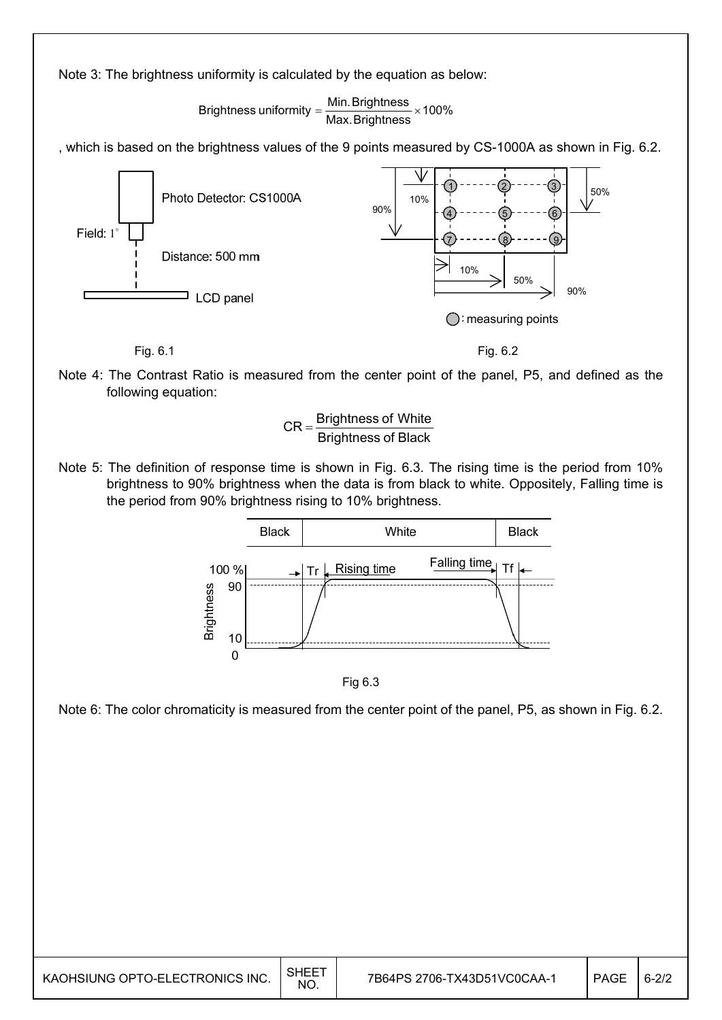Note 3: The brightness uniformity is calculated by the equation as below:

Brightness uniformity =  $\frac{\textsf{Min.} \textsf{Brightness}}{\textsf{Max.} \textsf{Brightness}}$  × 100%

, which is based on the brightness values of the 9 points measured by CS-1000A as shown in Fig. 6.2.



Note 4: The Contrast Ratio is measured from the center point of the panel, P5, and defined as the following equation:



Note 5: The definition of response time is shown in Fig. 6.3. The rising time is the period from 10% brightness to 90% brightness when the data is from black to white. Oppositely, Falling time is the period from 90% brightness rising to 10% brightness.



Fig 6.3

Note 6: The color chromaticity is measured from the center point of the panel, P5, as shown in Fig. 6.2.

| KAOHSIUNG OPTO-ELECTRONICS INC. | SHEE <sup>-</sup><br><b>NO</b> | 7B64PS 2706-TX43D51VC0CAA-1 | PAGE | $6 - 2/2$ |
|---------------------------------|--------------------------------|-----------------------------|------|-----------|
|---------------------------------|--------------------------------|-----------------------------|------|-----------|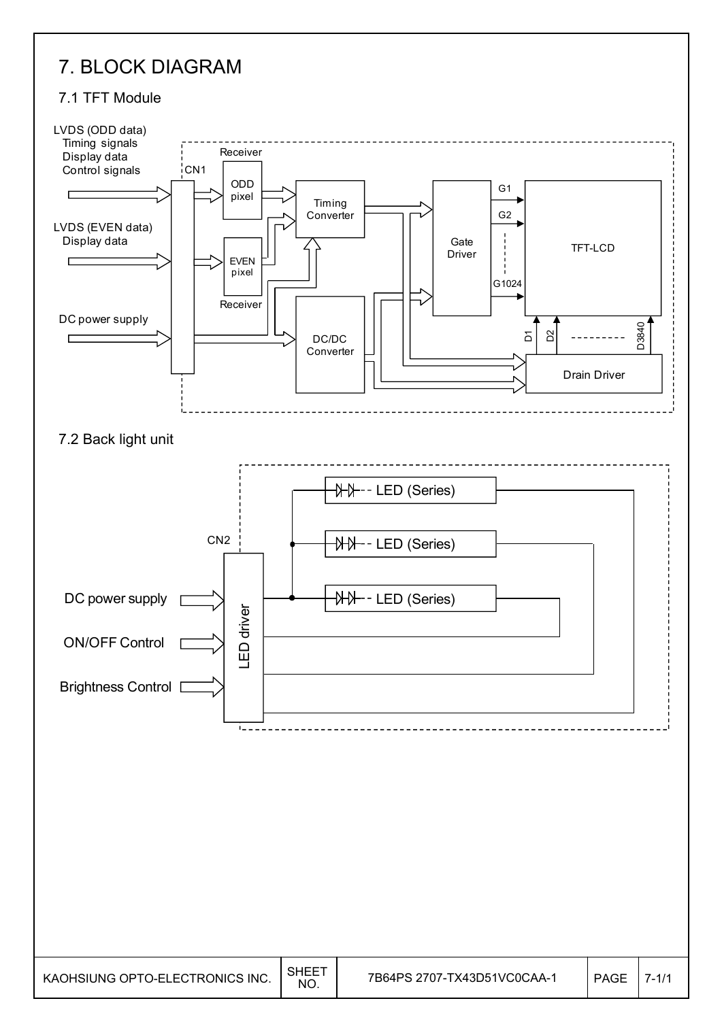## 7. BLOCK DIAGRAM

#### 7.1 TFT Module

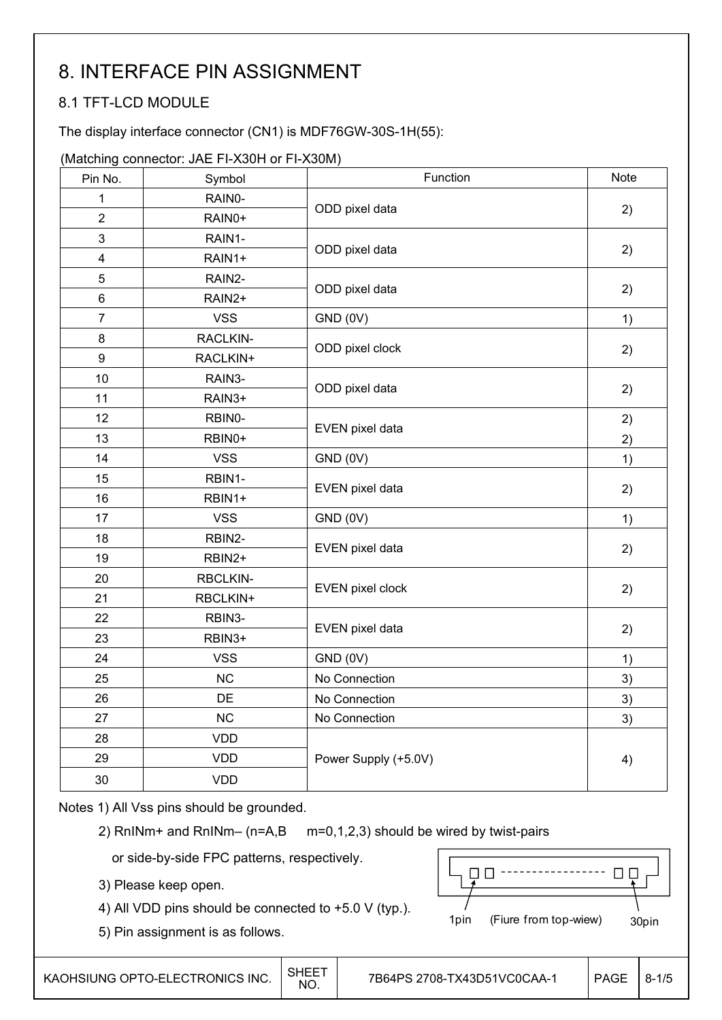# 8. INTERFACE PIN ASSIGNMENT

## 8.1 TFT-LCD MODULE

The display interface connector (CN1) is MDF76GW-30S-1H(55):

#### (Matching connector: JAE FI-X30H or FI-X30M)

| Pin No.          | Symbol     | Function             | <b>Note</b> |
|------------------|------------|----------------------|-------------|
| 1                | RAIN0-     |                      |             |
| $\overline{2}$   | RAIN0+     | ODD pixel data       | 2)          |
| $\mathbf{3}$     | RAIN1-     |                      |             |
| $\overline{4}$   | RAIN1+     | ODD pixel data       | 2)          |
| $\overline{5}$   | RAIN2-     |                      |             |
| $\,6$            | RAIN2+     | ODD pixel data       | 2)          |
| $\boldsymbol{7}$ | <b>VSS</b> | GND (0V)             | 1)          |
| 8                | RACLKIN-   |                      |             |
| $\boldsymbol{9}$ | RACLKIN+   | ODD pixel clock      | 2)          |
| 10               | RAIN3-     |                      |             |
| 11               | RAIN3+     | ODD pixel data       | 2)          |
| 12               | RBIN0-     |                      | 2)          |
| 13               | RBIN0+     | EVEN pixel data      | 2)          |
| 14               | <b>VSS</b> | GND (0V)             | 1)          |
| 15               | RBIN1-     |                      |             |
| 16               | RBIN1+     | EVEN pixel data      | 2)          |
| 17               | <b>VSS</b> | GND (0V)             | 1)          |
| 18               | RBIN2-     |                      |             |
| 19               | RBIN2+     | EVEN pixel data      | 2)          |
| 20               | RBCLKIN-   |                      |             |
| 21               | RBCLKIN+   | EVEN pixel clock     | 2)          |
| 22               | RBIN3-     |                      |             |
| 23               | RBIN3+     | EVEN pixel data      | 2)          |
| 24               | <b>VSS</b> | GND (0V)             | 1)          |
| 25               | <b>NC</b>  | No Connection        | 3)          |
| 26               | DE         | No Connection        | 3)          |
| 27               | NC         | No Connection        | 3)          |
| 28               | <b>VDD</b> |                      |             |
| 29               | <b>VDD</b> | Power Supply (+5.0V) | 4)          |
| 30               | <b>VDD</b> |                      |             |

Notes 1) All Vss pins should be grounded.

2) RnINm+ and RnINm– (n=A,B m=0,1,2,3) should be wired by twist-pairs

or side-by-side FPC patterns, respectively.

3) Please keep open.

4) All VDD pins should be connected to +5.0 V (typ.).

5) Pin assignment is as follows.

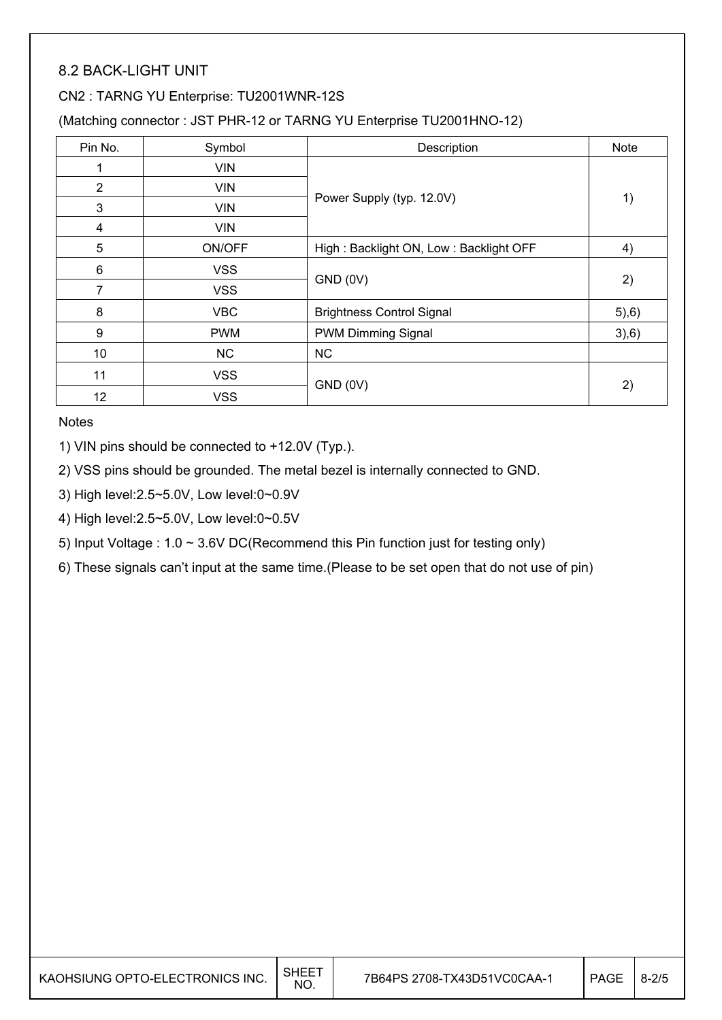## 8.2 BACK-LIGHT UNIT

#### CN2 : TARNG YU Enterprise: TU2001WNR-12S

(Matching connector : JST PHR-12 or TARNG YU Enterprise TU2001HNO-12)

| Pin No.         | Symbol     | Description                            | <b>Note</b> |
|-----------------|------------|----------------------------------------|-------------|
|                 | <b>VIN</b> |                                        |             |
| 2               | <b>VIN</b> |                                        |             |
| 3               | <b>VIN</b> | Power Supply (typ. 12.0V)              | 1)          |
| 4               | <b>VIN</b> |                                        |             |
| 5               | ON/OFF     | High: Backlight ON, Low: Backlight OFF | 4)          |
| 6               | <b>VSS</b> |                                        |             |
| 7               | <b>VSS</b> | GND (0V)                               | 2)          |
| 8               | <b>VBC</b> | <b>Brightness Control Signal</b>       | (5), 6)     |
| 9               | <b>PWM</b> | PWM Dimming Signal                     | 3,6)        |
| 10              | <b>NC</b>  | <b>NC</b>                              |             |
| 11              | <b>VSS</b> |                                        |             |
| 12 <sup>2</sup> | <b>VSS</b> | GND (0V)                               | 2)          |

**Notes** 

1) VIN pins should be connected to +12.0V (Typ.).

2) VSS pins should be grounded. The metal bezel is internally connected to GND.

3) High level:2.5~5.0V, Low level:0~0.9V

4) High level:2.5~5.0V, Low level:0~0.5V

5) Input Voltage : 1.0 ~ 3.6V DC(Recommend this Pin function just for testing only)

6) These signals can't input at the same time.(Please to be set open that do not use of pin)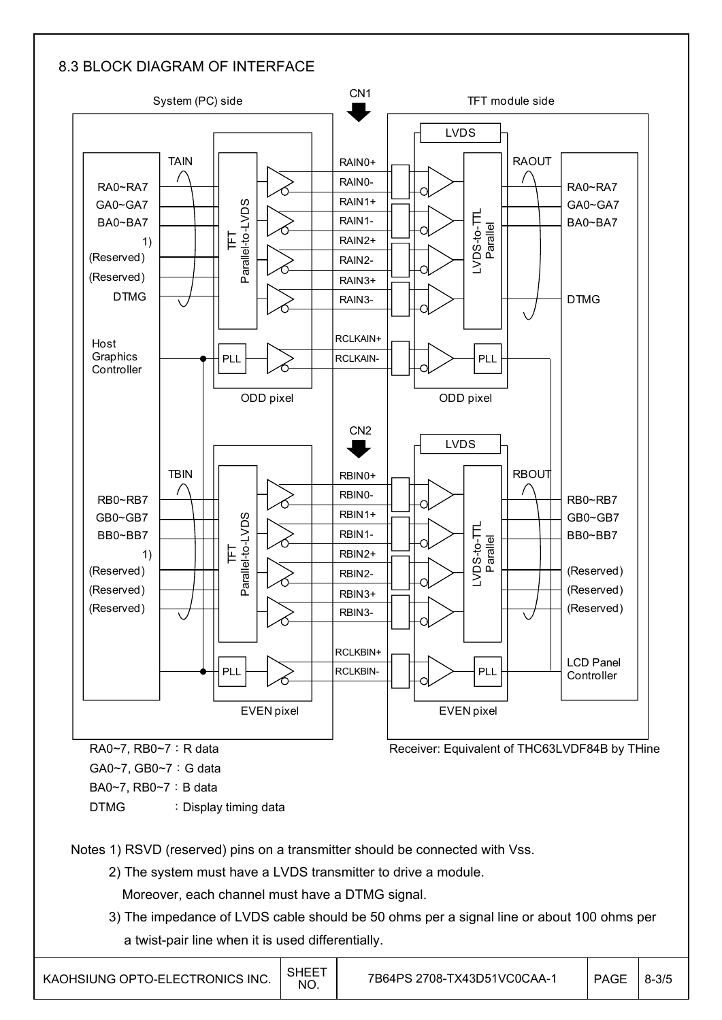## 8.3 BLOCK DIAGRAM OF INTERFACE



Notes 1) RSVD (reserved) pins on a transmitter should be connected with Vss.

- 2) The system must have a LVDS transmitter to drive a module.
	- Moreover, each channel must have a DTMG signal.
- 3) The impedance of LVDS cable should be 50 ohms per a signal line or about 100 ohms per a twist-pair line when it is used differentially.

| KAOHSIUNG OPTO-ELECTRONICS INC. | SHEET<br>NO. | 7B64PS 2708-TX43D51VC0CAA-1 | PAGE | $^{\prime}$ 8-3/5 |
|---------------------------------|--------------|-----------------------------|------|-------------------|
|---------------------------------|--------------|-----------------------------|------|-------------------|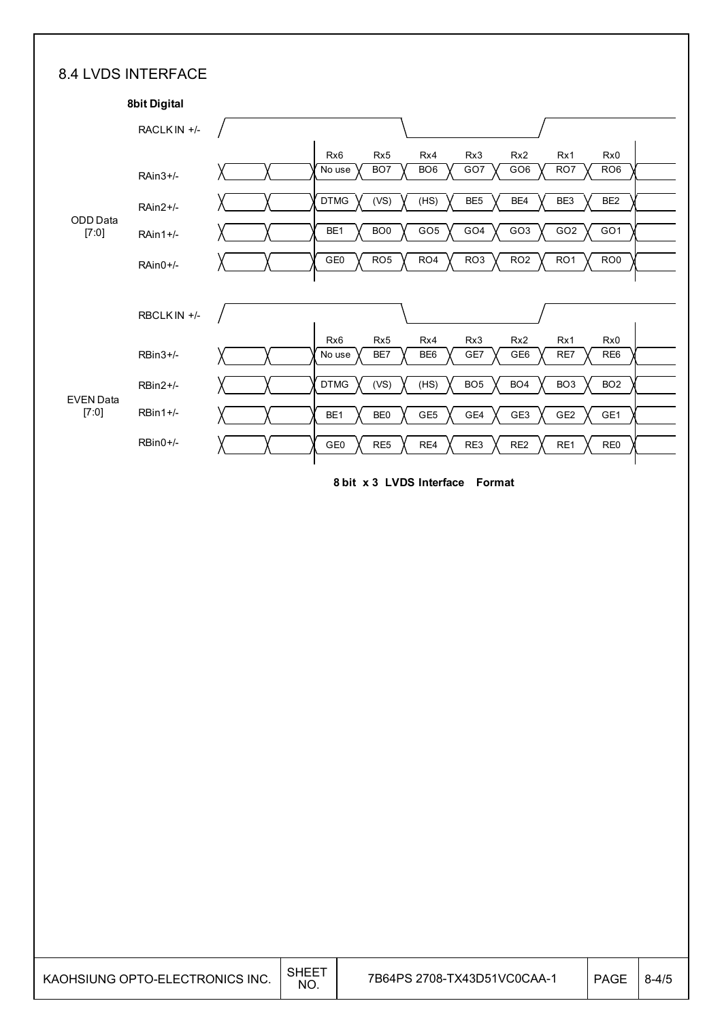### 8.4 LVDS INTERFACE

|                           | <b>8bit Digital</b> |                                                                                                                                                                                       |
|---------------------------|---------------------|---------------------------------------------------------------------------------------------------------------------------------------------------------------------------------------|
|                           | RACLK IN +/-        |                                                                                                                                                                                       |
|                           | $RAin3+/$           | Rx <sub>6</sub><br>Rx <sub>5</sub><br>Rx4<br>Rx3<br>Rx <sub>2</sub><br>Rx1<br>Rx0<br>GO7<br>GO <sub>6</sub><br>RO <sub>6</sub><br>BO <sub>7</sub><br>BO <sub>6</sub><br>RO7<br>No use |
|                           | RAin2+/-            | <b>DTMG</b><br>(VS)<br>(HS)<br>BE <sub>5</sub><br>BE4<br>BE3<br>BE <sub>2</sub>                                                                                                       |
| ODD Data<br>[7:0]         | $RA$ in 1+/-        | GO <sub>3</sub><br>BO <sub>0</sub><br>GO <sub>5</sub><br>GO <sub>4</sub><br>GO <sub>2</sub><br>GO <sub>1</sub><br>BE <sub>1</sub>                                                     |
|                           | $RAin0+/-$          | GE <sub>0</sub><br>RO <sub>5</sub><br>RO <sub>4</sub><br>RO <sub>3</sub><br>RO <sub>2</sub><br>RO <sub>1</sub><br>RO <sub>0</sub>                                                     |
|                           | RBCLK IN +/-        |                                                                                                                                                                                       |
|                           | $RBin3+/$           | Rx <sub>6</sub><br>Rx <sub>5</sub><br>Rx4<br>Rx3<br>Rx <sub>2</sub><br>Rx1<br>Rx0<br>GE <sub>6</sub><br>BE7<br>BE <sub>6</sub><br>GE7<br>RE7<br>RE <sub>6</sub><br>No use             |
|                           | $RBin2+/-$          | (VS)<br>(HS)<br>BO <sub>5</sub><br>BO <sub>4</sub><br>BO <sub>3</sub><br><b>DTMG</b><br>BO <sub>2</sub>                                                                               |
| <b>EVEN Data</b><br>[7:0] | $RBin1+/-$          | GE <sub>5</sub><br>GE4<br>GE3<br>GE <sub>2</sub><br>GE1<br>BE <sub>1</sub><br>BE <sub>0</sub>                                                                                         |
|                           | $RBin0+/-$          | RE <sub>5</sub><br>RE <sub>2</sub><br>GE0<br>RE4<br>RE3<br>RE1<br>RE <sub>0</sub>                                                                                                     |
|                           |                     |                                                                                                                                                                                       |

**8 bit x 3 LVDS Interface Format**

| KAOHSIUNG OPTO-ELECTRONICS INC. | SHEET<br>NO. | 7B64PS 2708-TX43D51VC0CAA-1 | <b>PAGE</b> | $8 - 4/5$ |
|---------------------------------|--------------|-----------------------------|-------------|-----------|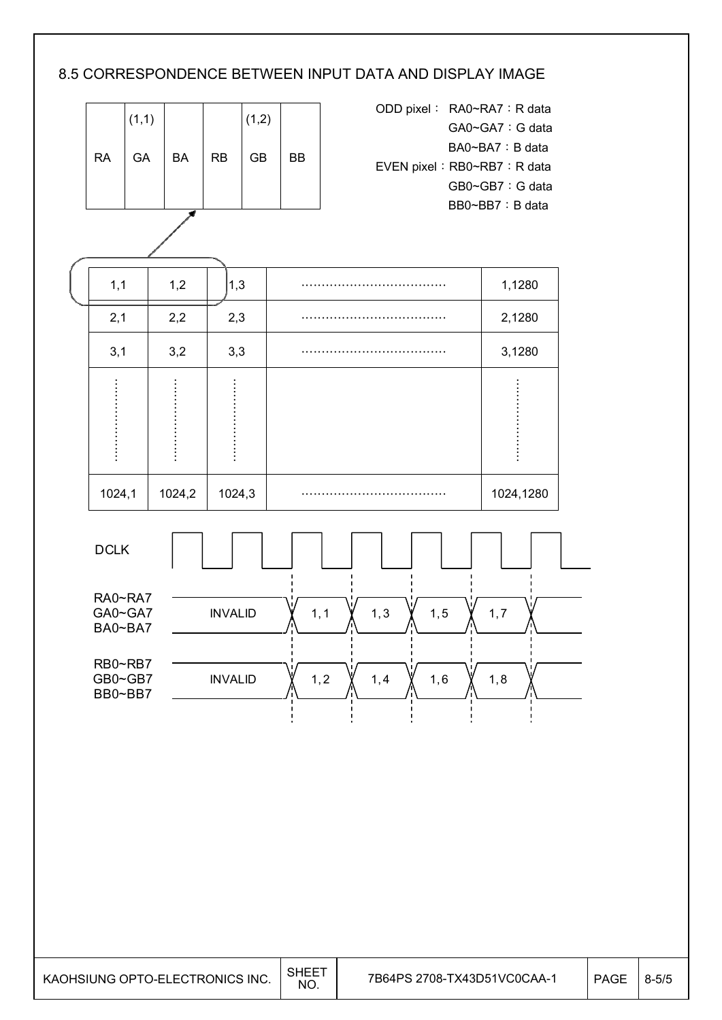## 8.5 CORRESPONDENCE BETWEEN INPUT DATA AND DISPLAY IMAGE

|           | (1,1) |           |           | (1,2)     |    |
|-----------|-------|-----------|-----------|-----------|----|
| <b>RA</b> | GA    | <b>BA</b> | <b>RB</b> | <b>GB</b> | ВB |
|           |       | ÷         |           |           |    |

| ODD pixel: RA0~RA7: R data  |
|-----------------------------|
| GA0~GA7: G data             |
| BA0~BA7: B data             |
| EVEN pixel: RB0~RB7: R data |
| GB0~GB7: G data             |
| BB0~BB7: B data             |

 $1,1$  |  $1,2$  |  $1,3$  |  $\ldots$   $\ldots$   $\ldots$   $\ldots$   $\ldots$   $\ldots$   $\ldots$   $\ldots$   $\ldots$   $\ldots$   $\ldots$   $\ldots$   $\ldots$   $\ldots$   $\ldots$   $\ldots$   $\ldots$   $\ldots$   $\ldots$   $\ldots$   $\ldots$   $\ldots$   $\ldots$   $\ldots$   $\ldots$   $\ldots$   $\ldots$   $\ldots$   $\ldots$   $\ldots$   $\ldots$   $\ldots$   $\ldots$  $2,1$  |  $2,2$  |  $2,3$  |  $\cdots$   $2,1280$  $3,1$   $3,2$   $3,3$   $\ldots$   $3,1280$ ɃɃɃɃɃɃɃ ɃɃɃɃɃɃɃ ɃɃɃɃɃɃɃ ɃɃɃɃɃɃɃ 1024,1 1024,2 1024,3 ɃɃɃɃɃɃɃɃɃɃɃɃ 1024,1280



| KAOHSIUNG OPTO-ELECTRONICS INC. | <b>SHEET</b> | 7B64PS 2 |
|---------------------------------|--------------|----------|
|---------------------------------|--------------|----------|

T

Τ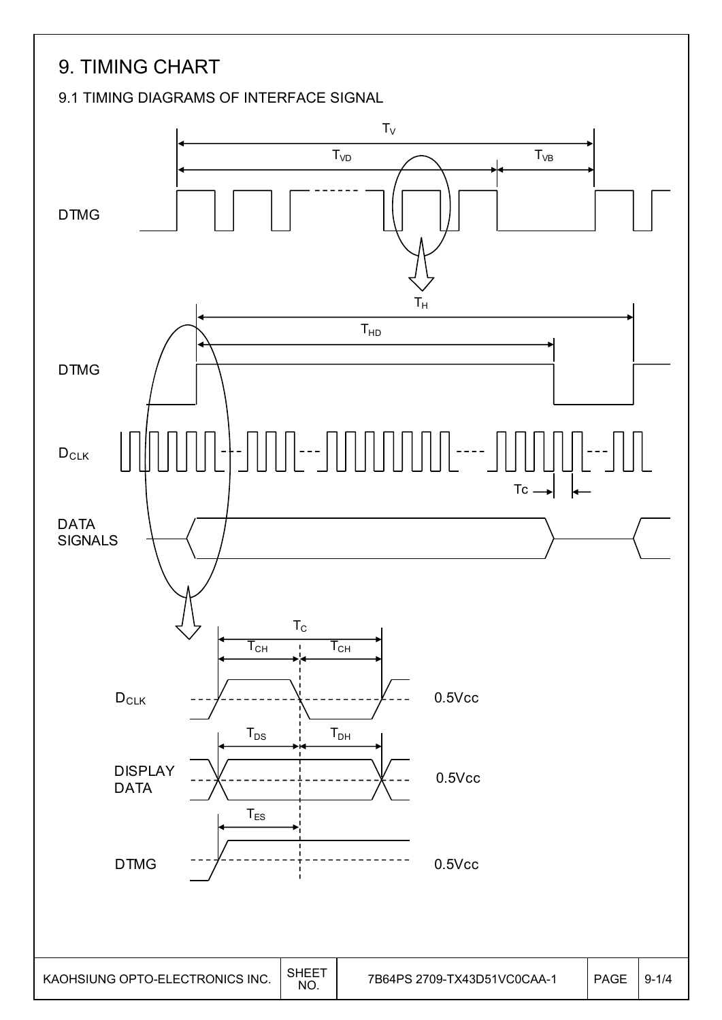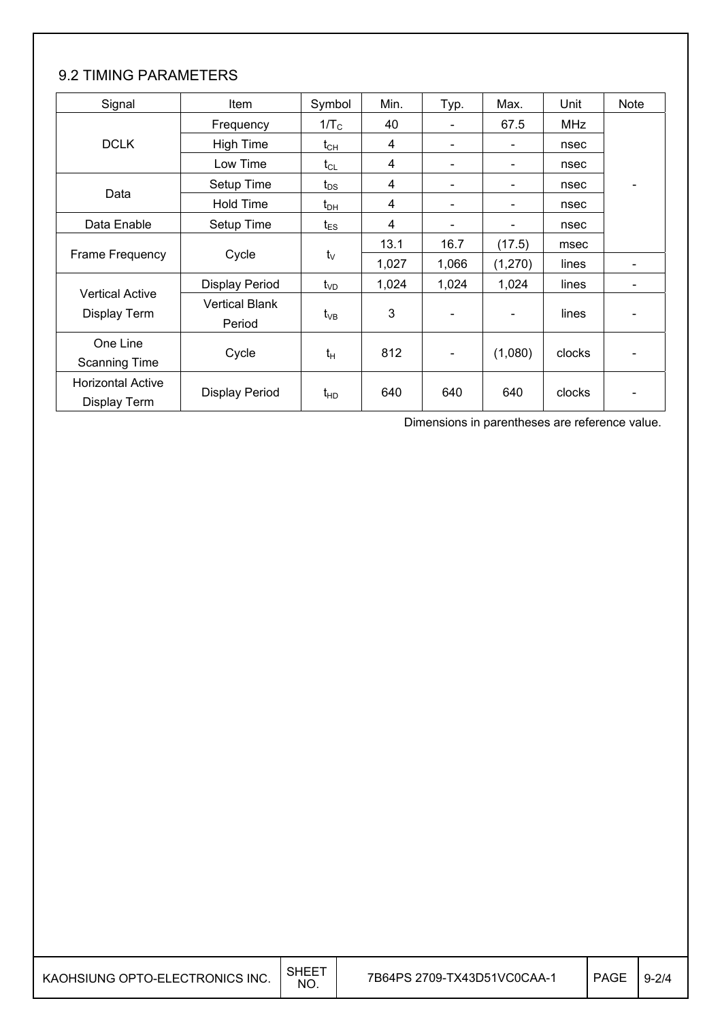## 9.2 TIMING PARAMETERS

| Signal                                   | Item                            | Symbol          | Min.  | Typ.                     | Max.    | Unit       | <b>Note</b> |
|------------------------------------------|---------------------------------|-----------------|-------|--------------------------|---------|------------|-------------|
|                                          | Frequency                       | $1/T_C$         | 40    |                          | 67.5    | <b>MHz</b> |             |
| <b>DCLK</b>                              | <b>High Time</b>                | $t_{CH}$        | 4     | $\overline{\phantom{a}}$ |         | nsec       |             |
|                                          | Low Time                        | $t_{CL}$        | 4     |                          |         | nsec       |             |
|                                          | Setup Time                      | $t_{DS}$        | 4     | $\overline{\phantom{a}}$ |         | nsec       |             |
| Data                                     | Hold Time                       | $t_{\text{DH}}$ | 4     | $\overline{\phantom{a}}$ |         | nsec       |             |
| Data Enable                              | Setup Time                      | $t_{ES}$        | 4     |                          | -       | nsec       |             |
|                                          |                                 |                 | 13.1  | 16.7                     | (17.5)  | msec       |             |
| Frame Frequency                          | Cycle                           | $t_{\vee}$      | 1,027 | 1,066                    | (1,270) | lines      |             |
|                                          | <b>Display Period</b>           | $t_{VD}$        | 1,024 | 1,024                    | 1,024   | lines      |             |
| <b>Vertical Active</b><br>Display Term   | <b>Vertical Blank</b><br>Period | $t_{VB}$        | 3     |                          |         | lines      |             |
| One Line<br><b>Scanning Time</b>         | Cycle                           | $t_H$           | 812   | $\blacksquare$           | (1,080) | clocks     |             |
| <b>Horizontal Active</b><br>Display Term | <b>Display Period</b>           | $t_{HD}$        | 640   | 640                      | 640     | clocks     |             |

Dimensions in parentheses are reference value.

| KAOHSIUNG OPTO-ELECTRONICS INC. | SHEE <sup>-</sup><br><b>NO</b> | 7B64PS 2709-TX43D51VC0CAA-1 | <b>PAGE</b> | $9 - 2/4$ |
|---------------------------------|--------------------------------|-----------------------------|-------------|-----------|
|---------------------------------|--------------------------------|-----------------------------|-------------|-----------|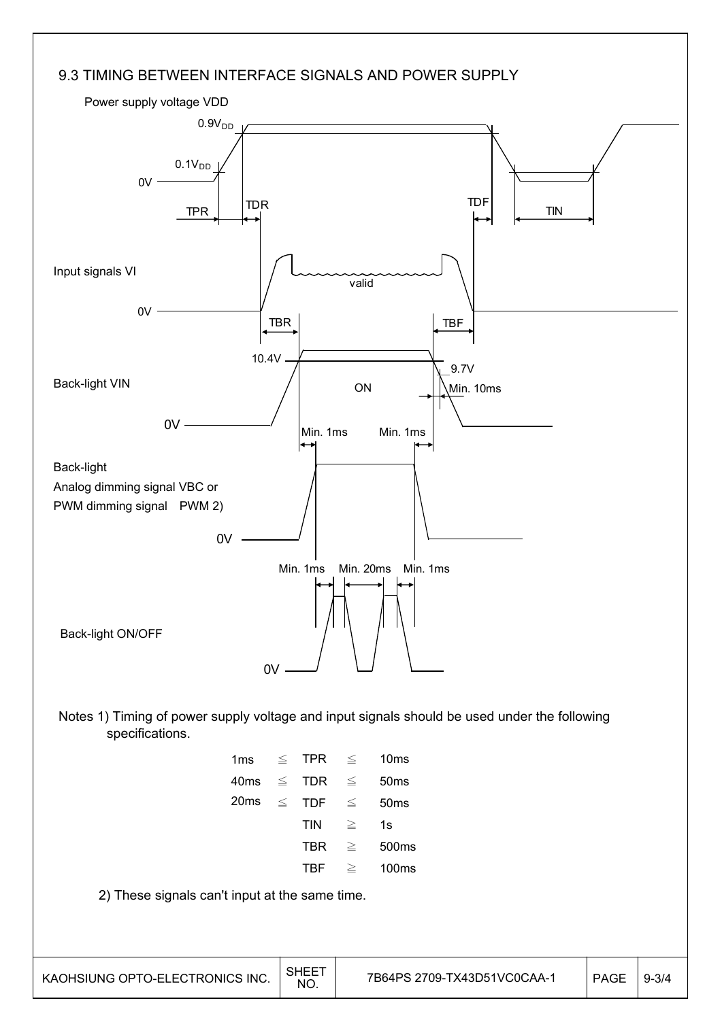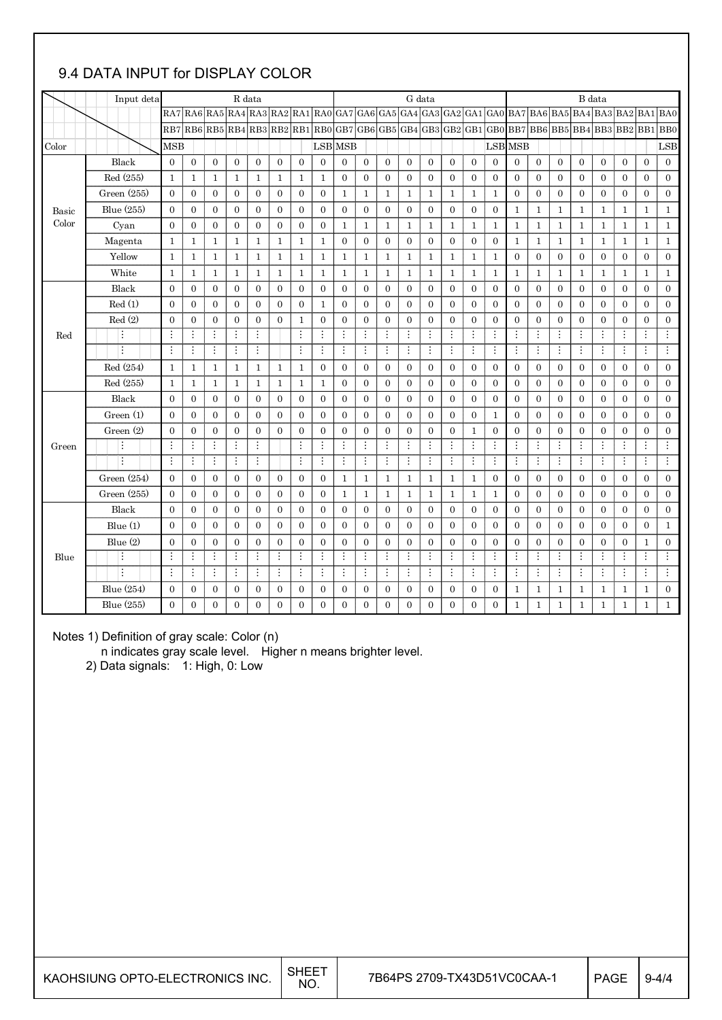## 9.4 DATA INPUT for DISPLAY COLOR

|       | Input deta<br>R data |                |                  |                                               |                | G data           |              |                  |                |                         |                | B data           |                |                                 |                  |                |                  |                  |                       |                  |                  |                  |                  |                  |                                                        |
|-------|----------------------|----------------|------------------|-----------------------------------------------|----------------|------------------|--------------|------------------|----------------|-------------------------|----------------|------------------|----------------|---------------------------------|------------------|----------------|------------------|------------------|-----------------------|------------------|------------------|------------------|------------------|------------------|--------------------------------------------------------|
|       |                      |                |                  | $RA7 RA6 RA5 RA4 RA3 RA2 RA1 RA0 GA7 GA6 GA5$ |                |                  |              |                  |                |                         |                |                  |                |                                 |                  |                |                  |                  |                       |                  |                  |                  |                  |                  | $ GA4 GA3 GA2 GA1 GA0 BA7 BA6 BA5 BA4 BA3 BA2 BA1 BA0$ |
|       |                      |                |                  | RB7 RB6 RB5 RB4 RB3 RB2 RB1 RB0               |                |                  |              |                  |                |                         |                |                  |                | GB7 GB6 GB5 GB4 GB3 GB2 GB1 GB0 |                  |                |                  |                  | BB7BB6BB5BB4BB3BB2BB1 |                  |                  |                  |                  |                  | BB0                                                    |
| Color |                      | <b>MSB</b>     |                  |                                               |                |                  |              |                  | <b>LSB</b> MSB |                         |                |                  |                |                                 |                  |                |                  | LSB MSB          |                       |                  |                  |                  |                  |                  | LSB                                                    |
|       | Black                | $\mathbf{0}$   | $\mathbf{0}$     | 0                                             | 0              | $\mathbf{0}$     | $\mathbf{0}$ | $\mathbf{0}$     | $\mathbf{0}$   | $\mathbf{0}$            | $\overline{0}$ | $\overline{0}$   | $\overline{0}$ | $\overline{0}$                  | $\overline{0}$   | $\overline{0}$ | $\overline{0}$   | $\mathbf{0}$     | 0                     | $\mathbf{0}$     | $\boldsymbol{0}$ | $\boldsymbol{0}$ | $\boldsymbol{0}$ | $\overline{0}$   | $\mathbf{0}$                                           |
|       | Red (255)            | 1              | $\mathbf{1}$     | $\mathbf{1}$                                  | $\mathbf{1}$   | $\mathbf{1}$     | 1            | $\mathbf{1}$     | $\mathbf{1}$   | $\mathbf{0}$            | $\mathbf{0}$   | $\boldsymbol{0}$ | $\overline{0}$ | $\mathbf{0}$                    | $\mathbf{0}$     | $\mathbf{0}$   | $\boldsymbol{0}$ | $\boldsymbol{0}$ | $\mathbf{0}$          | $\boldsymbol{0}$ | $\boldsymbol{0}$ | $\boldsymbol{0}$ | $\boldsymbol{0}$ | $\boldsymbol{0}$ | $\boldsymbol{0}$                                       |
|       | Green (255)          | $\mathbf{0}$   | $\overline{0}$   | $\overline{0}$                                | $\mathbf{0}$   | $\mathbf{0}$     | $\mathbf{0}$ | $\overline{0}$   | $\overline{0}$ | $\mathbf{1}$            | $\mathbf{1}$   | $\mathbf{1}$     | $\mathbf{1}$   | $\mathbf 1$                     | $\mathbf{1}$     | $\mathbf{1}$   | $\mathbf{1}$     | $\mathbf{0}$     | $\overline{0}$        | $\boldsymbol{0}$ | $\boldsymbol{0}$ | $\boldsymbol{0}$ | $\boldsymbol{0}$ | $\boldsymbol{0}$ | $\boldsymbol{0}$                                       |
| Basic | Blue (255)           | $\mathbf{0}$   | $\overline{0}$   | $\overline{0}$                                | $\overline{0}$ | $\mathbf{0}$     | $\mathbf{0}$ | $\mathbf{0}$     | $\overline{0}$ | $\mathbf{0}$            | $\overline{0}$ | $\mathbf{0}$     | $\overline{0}$ | $\mathbf{0}$                    | $\mathbf{0}$     | $\mathbf{0}$   | $\overline{0}$   | $\mathbf{1}$     | $\mathbf{1}$          | $\mathbf{1}$     | $\mathbf{1}$     | $\mathbf{1}$     | $\mathbf{1}$     | $\mathbf{1}$     | $\mathbf{1}$                                           |
| Color | Cyan                 | $\mathbf{0}$   | $\mathbf{0}$     | $\theta$                                      | $\overline{0}$ | $\mathbf{0}$     | $\mathbf{0}$ | $\mathbf{0}$     | $\mathbf{0}$   | $\mathbf{1}$            | $\mathbf{1}$   | $\mathbf{1}$     | $\mathbf{1}$   | $\mathbf{1}$                    | $\mathbf{1}$     | $\mathbf{1}$   | $\mathbf{1}$     | $\mathbf{1}$     | $\mathbf{1}$          | $\mathbf{1}$     | $\mathbf{1}$     | $\mathbf{1}$     | $\mathbf{1}$     | $\mathbf{1}$     | $\mathbf{1}$                                           |
|       | Magenta              | $\mathbf{1}$   | $\mathbf{1}$     | $\mathbf{1}$                                  | $\mathbf{1}$   | $\mathbf{1}$     | $\mathbf{1}$ | $\mathbf{1}$     | $\mathbf{1}$   | $\mathbf{0}$            | $\overline{0}$ | $\mathbf{0}$     | $\overline{0}$ | $\overline{0}$                  | $\mathbf{0}$     | $\mathbf{0}$   | $\boldsymbol{0}$ | $\mathbf{1}$     | $\mathbf{1}$          | $\mathbf{1}$     | $\mathbf{1}$     | $\mathbf{1}$     | $\mathbf{1}$     | $\,1\,$          | $\mathbf{1}$                                           |
|       | Yellow               | $\mathbf{1}$   | $\mathbf{1}$     | $\mathbf{1}$                                  | $\mathbf{1}$   | $\mathbf{1}$     | $\mathbf{1}$ | $\mathbf{1}$     | $\mathbf{1}$   | $\mathbf{1}$            | 1              | $\mathbf{1}$     | $\mathbf{1}$   | $\mathbf{1}$                    | $\mathbf{1}$     | $\mathbf{1}$   | $\mathbf{1}$     | $\boldsymbol{0}$ | 0                     | $\mathbf{0}$     | $\boldsymbol{0}$ | $\mathbf{0}$     | $\boldsymbol{0}$ | $\boldsymbol{0}$ | $\mathbf{0}$                                           |
|       | White                | $\mathbf{1}$   | $\mathbf{1}$     | $\mathbf{1}$                                  | $\mathbf{1}$   | $\mathbf{1}$     | $\mathbf{1}$ | $\mathbf{1}$     | $\mathbf{1}$   | $\mathbf{1}$            | $\mathbf{1}$   | $\mathbf{1}$     | $\mathbf{1}$   | $\mathbf{1}$                    | $\mathbf{1}$     | $\mathbf{1}$   | $\mathbf{1}$     | $\mathbf{1}$     | $\mathbf{1}$          | $\mathbf{1}$     | $\mathbf{1}$     | $\mathbf{1}$     | $\mathbf{1}$     | $\mathbf{1}$     | $\mathbf{1}$                                           |
|       | Black                | $\overline{0}$ | $\mathbf{0}$     | $\mathbf{0}$                                  | 0              | $\overline{0}$   | $\mathbf{0}$ | $\overline{0}$   | $\overline{0}$ | $\overline{0}$          | $\overline{0}$ | $\overline{0}$   | $\overline{0}$ | $\overline{0}$                  | $\overline{0}$   | $\overline{0}$ | $\mathbf{0}$     | $\mathbf{0}$     | $\overline{0}$        | $\mathbf{0}$     | $\mathbf{0}$     | $\mathbf{0}$     | $\overline{0}$   | $\mathbf{0}$     | $\overline{0}$                                         |
|       | Red(1)               | $\mathbf{0}$   | $\mathbf{0}$     | $\boldsymbol{0}$                              | $\overline{0}$ | $\mathbf{0}$     | $\mathbf{0}$ | $\mathbf{0}$     | $1\,$          | $\mathbf{0}$            | $\mathbf{0}$   | $\overline{0}$   | $\overline{0}$ | $\overline{0}$                  | $\overline{0}$   | $\overline{0}$ | $\overline{0}$   | $\overline{0}$   | $\overline{0}$        | $\mathbf{0}$     | $\overline{0}$   | $\overline{0}$   | $\mathbf{0}$     | $\mathbf{0}$     | $\boldsymbol{0}$                                       |
|       | Red(2)               | $\mathbf{0}$   | $\mathbf{0}$     | $\mathbf{0}$                                  | $\mathbf{0}$   | $\boldsymbol{0}$ | $\mathbf{0}$ | $\mathbf{1}$     | $\overline{0}$ | $\mathbf{0}$            | $\overline{0}$ | $\mathbf{0}$     | $\overline{0}$ | $\mathbf{0}$                    | $\mathbf{0}$     | $\mathbf{0}$   | $\boldsymbol{0}$ | $\overline{0}$   | $\mathbf{0}$          | $\mathbf{0}$     | $\boldsymbol{0}$ | $\boldsymbol{0}$ | $\boldsymbol{0}$ | $\mathbf{0}$     | $\boldsymbol{0}$                                       |
| Red   | ÷                    | $\vdots$       | ÷                | $\vdots$                                      | ÷              | ÷                |              | ÷                | ÷              | $\vdots$                | $\vdots$       | $\vdots$         | $\vdots$       | $\vdots$                        | $\vdots$         | $\vdots$       | ÷                | $\vdots$         | $\vdots$              | ÷                | ÷                | ÷                | ÷                |                  | Ŧ                                                      |
|       | $\ddot{\cdot}$       | $\vdots$       | ÷                | $\vdots$                                      | $\vdots$       | ÷                |              | ÷                | ÷              | $\vdots$                | ÷              | $\vdots$         | ÷              | ÷                               | ÷                | ÷              | ÷                | ÷                | ÷                     | ÷                | ÷                | ÷                | ÷                | ÷                | ÷                                                      |
|       | Red (254)            | $\mathbf{1}$   | $\mathbf{1}$     | $\mathbf{1}$                                  | $\mathbf{1}$   | $\mathbf{1}$     | $\mathbf{1}$ | $\mathbf{1}$     | $\mathbf{0}$   | $\mathbf{0}$            | $\overline{0}$ | $\mathbf{0}$     | $\overline{0}$ | $\overline{0}$                  | $\mathbf{0}$     | $\mathbf{0}$   | $\overline{0}$   | $\mathbf{0}$     | $\overline{0}$        | $\mathbf{0}$     | $\overline{0}$   | $\mathbf{0}$     | $\mathbf{0}$     | $\theta$         | $\mathbf{0}$                                           |
|       | Red (255)            | $\mathbf{1}$   | $\mathbf{1}$     | $\mathbf{1}$                                  | $\mathbf{1}$   | $\mathbf{1}$     | 1            | 1                | $\mathbf{1}$   | $\mathbf{0}$            | $\overline{0}$ | $\mathbf{0}$     | $\overline{0}$ | $\mathbf{0}$                    | $\boldsymbol{0}$ | $\mathbf{0}$   | $\boldsymbol{0}$ | $\mathbf{0}$     | $\mathbf{0}$          | $\boldsymbol{0}$ | $\boldsymbol{0}$ | $\boldsymbol{0}$ | $\mathbf{0}$     | $\mathbf{0}$     | $\boldsymbol{0}$                                       |
|       | Black                | $\mathbf{0}$   | $\boldsymbol{0}$ | $\boldsymbol{0}$                              | 0              | $\boldsymbol{0}$ | $\mathbf{0}$ | $\boldsymbol{0}$ | $\overline{0}$ | $\mathbf{0}$            | $\mathbf{0}$   | $\mathbf{0}$     | $\mathbf{0}$   | $\mathbf{0}$                    | $\mathbf{0}$     | $\mathbf{0}$   | $\boldsymbol{0}$ | $\boldsymbol{0}$ | $\mathbf{0}$          | $\boldsymbol{0}$ | $\boldsymbol{0}$ | $\boldsymbol{0}$ | $\mathbf{0}$     | $\boldsymbol{0}$ | $\boldsymbol{0}$                                       |
|       | Green (1)            | $\Omega$       | $\overline{0}$   | $\overline{0}$                                | $\overline{0}$ | $\mathbf{0}$     | $\mathbf{0}$ | $\mathbf{0}$     | $\overline{0}$ | $\Omega$                | $\overline{0}$ | $\mathbf{0}$     | $\overline{0}$ | $\overline{0}$                  | $\mathbf{0}$     | $\overline{0}$ | $\mathbf{1}$     | $\Omega$         | $\overline{0}$        | $\mathbf{0}$     | $\mathbf{0}$     | $\overline{0}$   | $\mathbf{0}$     | $\mathbf{0}$     | $\boldsymbol{0}$                                       |
|       | Green $(2)$          | $\mathbf{0}$   | $\boldsymbol{0}$ | $\boldsymbol{0}$                              | $\mathbf{0}$   | $\boldsymbol{0}$ | $\mathbf{0}$ | $\boldsymbol{0}$ | $\mathbf{0}$   | $\mathbf{0}$            | $\mathbf{0}$   | $\mathbf{0}$     | $\mathbf{0}$   | $\mathbf{0}$                    | $\mathbf{0}$     | $\mathbf{1}$   | $\boldsymbol{0}$ | $\boldsymbol{0}$ | $\mathbf{0}$          | $\mathbf{0}$     | $\boldsymbol{0}$ | $\boldsymbol{0}$ | $\mathbf{0}$     | $\boldsymbol{0}$ | $\boldsymbol{0}$                                       |
| Green | ÷                    | Ŧ              | ÷                | $\vdots$                                      | $\vdots$       | $\vdots$         |              | $\vdots$         | Ŧ              | $\overline{\mathbf{H}}$ | $\vdots$       | $\vdots$         | ÷              | $\vdots$                        | ÷                | $\vdots$       | ŧ.               | $\vdots$         | ÷                     | $\vdots$         | ÷                | $\vdots$         | ÷                | $\vdots$         | Ŧ                                                      |
|       | ÷                    | ÷              | $\vdots$         | ÷                                             | ÷              | ÷                |              | ÷                | ÷              | ÷                       | ÷              | ÷                | È.             | ÷                               | ÷                | ÷              | ŧ.               | ÷                | ÷                     | ÷                | ÷                | ÷                | ÷                | ÷                | Ŧ                                                      |
|       | Green $(254)$        | $\overline{0}$ | $\boldsymbol{0}$ | $\mathbf{0}$                                  | 0              | $\boldsymbol{0}$ | $\mathbf{0}$ | $\theta$         | $\overline{0}$ | $\mathbf{1}$            | 1              | $\mathbf{1}$     | $\mathbf{1}$   | $\mathbf{1}$                    | $\mathbf{1}$     | $\mathbf{1}$   | $\boldsymbol{0}$ | $\mathbf{0}$     | 0                     | $\mathbf{0}$     | $\boldsymbol{0}$ | $\mathbf{0}$     | $\boldsymbol{0}$ | $\overline{0}$   | $\mathbf{0}$                                           |
|       | Green (255)          | $\Omega$       | $\overline{0}$   | $\overline{0}$                                | $\overline{0}$ | $\mathbf{0}$     | $\mathbf{0}$ | $\theta$         | $\overline{0}$ | $\mathbf{1}$            | 1              | $\mathbf{1}$     | $\mathbf{1}$   | $\mathbf{1}$                    | $\mathbf{1}$     | 1              | $\mathbf{1}$     | $\mathbf{0}$     | $\overline{0}$        | $\mathbf{0}$     | $\mathbf{0}$     | $\mathbf{0}$     | $\overline{0}$   | $\overline{0}$   | $\boldsymbol{0}$                                       |
|       | Black                | $\mathbf{0}$   | $\boldsymbol{0}$ | $\mathbf{0}$                                  | 0              | $\boldsymbol{0}$ | $\mathbf{0}$ | $\mathbf{0}$     | $\mathbf{0}$   | $\boldsymbol{0}$        | $\mathbf{0}$   | $\boldsymbol{0}$ | $\overline{0}$ | $\mathbf{0}$                    | $\mathbf{0}$     | $\mathbf{0}$   | $\boldsymbol{0}$ | $\boldsymbol{0}$ | $\mathbf{0}$          | $\boldsymbol{0}$ | $\boldsymbol{0}$ | $\boldsymbol{0}$ | $\mathbf{0}$     | $\mathbf{0}$     | $\boldsymbol{0}$                                       |
|       | Blue $(1)$           | $\mathbf{0}$   | $\mathbf{0}$     | $\overline{0}$                                | $\overline{0}$ | $\overline{0}$   | $\mathbf{0}$ | $\mathbf{0}$     | $\overline{0}$ | $\overline{0}$          | $\mathbf{0}$   | $\overline{0}$   | $\overline{0}$ | $\overline{0}$                  | $\overline{0}$   | $\overline{0}$ | $\overline{0}$   | $\overline{0}$   | $\overline{0}$        | $\overline{0}$   | $\overline{0}$   | $\overline{0}$   | $\mathbf{0}$     | $\boldsymbol{0}$ | $\mathbf{1}$                                           |
|       | Blue (2)             | $\mathbf{0}$   | $\mathbf{0}$     | 0                                             | 0              | $\mathbf{0}$     | $\mathbf{0}$ | $\theta$         | $\mathbf{0}$   | $\overline{0}$          | $\mathbf{0}$   | $\theta$         | $\overline{0}$ | $\overline{0}$                  | $\mathbf{0}$     | $\overline{0}$ | $\mathbf{0}$     | $\mathbf{0}$     | $\overline{0}$        | $\mathbf{0}$     | $\mathbf{0}$     | $\mathbf{0}$     | $\boldsymbol{0}$ | 1                | $\boldsymbol{0}$                                       |
| Blue  | ÷                    | $\vdots$       | $\vdots$         | ÷                                             | $\vdots$       | $\vdots$         | ÷            | $\vdots$         | $\vdots$       | $\vdots$                | $\vdots$       | $\vdots$         | ÷              | $\vdots$                        | ÷                | $\vdots$       | ÷                | $\vdots$         | ÷                     | $\vdots$         | $\vdots$         | $\vdots$         | ÷                |                  | $\vdots$                                               |
|       | ÷                    | $\vdots$       | ÷                | $\vdots$                                      | $\vdots$       | ÷                | ÷            | ÷                | $\vdots$       | $\vdots$                | ÷              | $\vdots$         | ÷              | $\vdots$                        | ÷                | ÷              | ŧ.               | $\vdots$         | ÷                     | ÷                | ÷                | ÷                | ÷                | ÷                | ÷                                                      |
|       | Blue $(254)$         | $\mathbf{0}$   | $\mathbf{0}$     | $\overline{0}$                                | $\mathbf{0}$   | $\mathbf{0}$     | $\mathbf{0}$ | $\mathbf{0}$     | $\mathbf{0}$   | $\mathbf{0}$            | $\overline{0}$ | $\mathbf{0}$     | $\overline{0}$ | $\overline{0}$                  | $\mathbf{0}$     | $\mathbf{0}$   | $\overline{0}$   | $\mathbf{1}$     | $\mathbf{1}$          | $\mathbf{1}$     | $\mathbf{1}$     | $\mathbf{1}$     | $\mathbf{1}$     | $\mathbf{1}$     | $\mathbf{0}$                                           |
|       | Blue (255)           | $\Omega$       | $\mathbf{0}$     | $\overline{0}$                                | $\overline{0}$ | $\mathbf{0}$     | $\mathbf{0}$ | $\mathbf{0}$     | $\overline{0}$ | $\mathbf{0}$            | $\overline{0}$ | $\mathbf{0}$     | $\Omega$       | $\overline{0}$                  | $\overline{0}$   | $\overline{0}$ | $\overline{0}$   | $\mathbf{1}$     | $\mathbf{1}$          | $\mathbf{1}$     | $\mathbf{1}$     | $\mathbf{1}$     | $\mathbf{1}$     | $\mathbf{1}$     | $\mathbf{1}$                                           |

Notes 1) Definition of gray scale: Color (n)

n indicates gray scale level. Higher n means brighter level.

2) Data signals: 1: High, 0: Low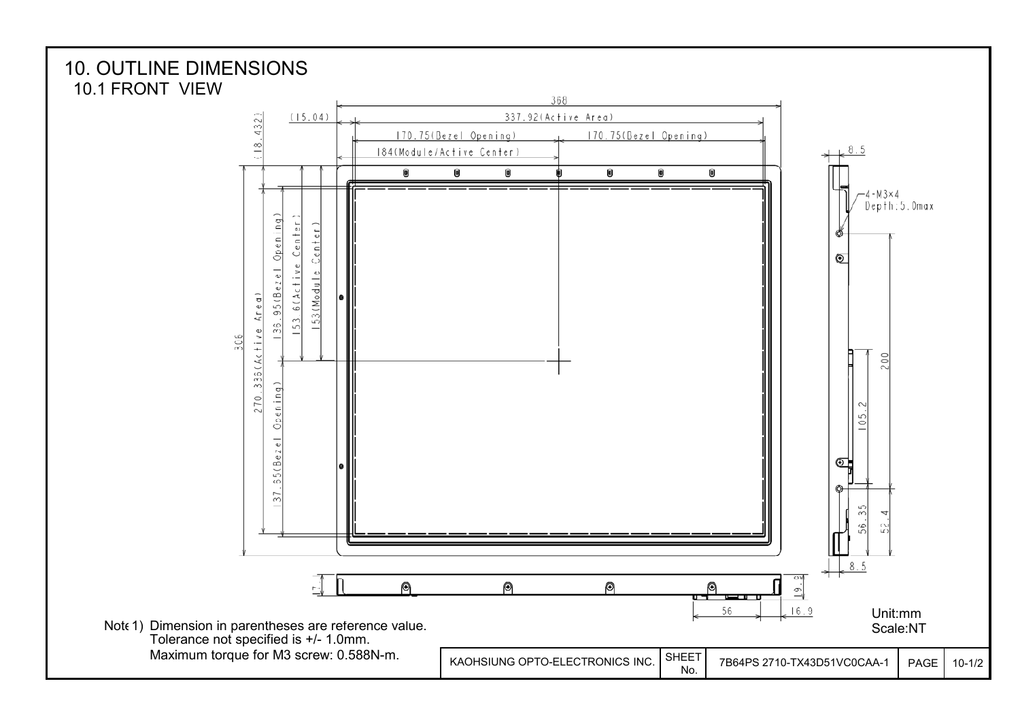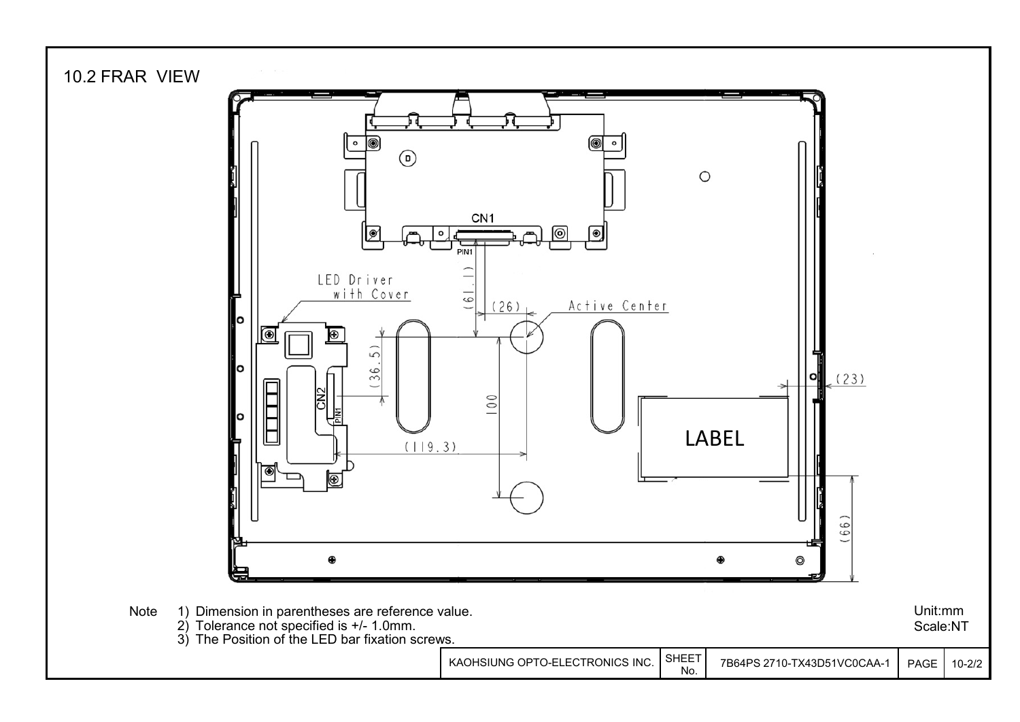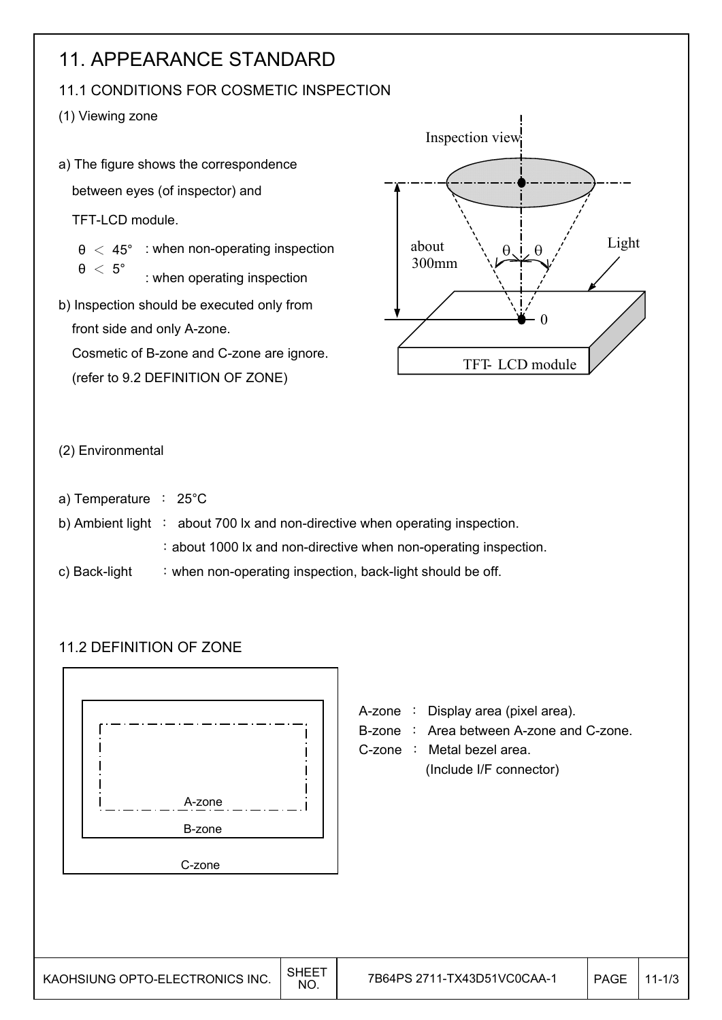## 11. APPEARANCE STANDARD

## 11.1 CONDITIONS FOR COSMETIC INSPECTION

(1) Viewing zone

a) The figure shows the correspondence between eyes (of inspector) and TFT-LCD module.  $\theta$  < 45° : when non-operating inspection : when operating inspection b) Inspection should be executed only from front side and only A-zone. Cosmetic of B-zone and C-zone are ignore. (refer to 9.2 DEFINITION OF ZONE)  $\theta$  < 5°



- (2) Environmental
- a) Temperature  $\div$  25°C
- b) Ambient light  $\therefore$  about 700 lx and non-directive when operating inspection.
	- : about 1000 lx and non-directive when non-operating inspection.
- c) Back-light  $\therefore$  when non-operating inspection, back-light should be off.

## 11.2 DEFINITION OF ZONE

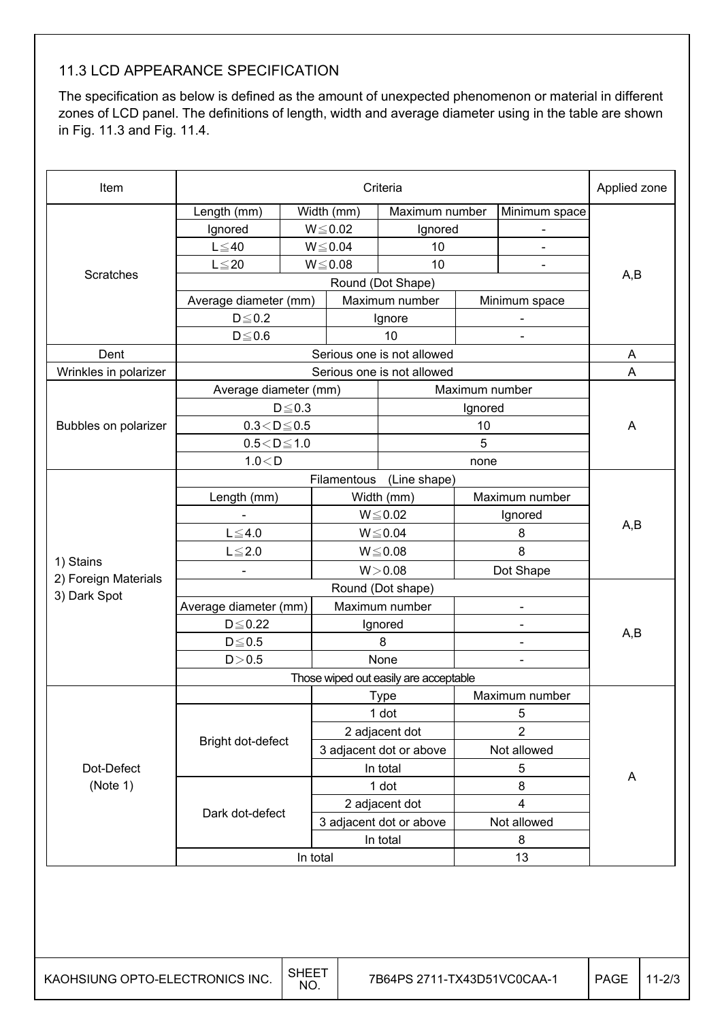## 11.3 LCD APPEARANCE SPECIFICATION

The specification as below is defined as the amount of unexpected phenomenon or material in different zones of LCD panel. The definitions of length, width and average diameter using in the table are shown in Fig. 11.3 and Fig. 11.4.

| Item                  | Criteria               |              |                                               |                            |                                        |                          | Applied zone |  |
|-----------------------|------------------------|--------------|-----------------------------------------------|----------------------------|----------------------------------------|--------------------------|--------------|--|
|                       | Length (mm)            |              | Width (mm)                                    | Maximum number             |                                        | Minimum space            |              |  |
|                       | Ignored                |              | $W \le 0.02$                                  | Ignored                    |                                        |                          |              |  |
|                       | $L \leq 40$            |              | $W \le 0.04$                                  | 10                         |                                        |                          |              |  |
|                       | $L \leq 20$            |              | $W \le 0.08$                                  | 10                         |                                        |                          | A,B          |  |
| Scratches             | Round (Dot Shape)      |              |                                               |                            |                                        |                          |              |  |
|                       | Average diameter (mm)  |              |                                               | Maximum number             |                                        | Minimum space            |              |  |
|                       | $D \le 0.2$            |              |                                               | Ignore                     |                                        |                          |              |  |
|                       | $D \le 0.6$            |              |                                               | 10                         |                                        | $\blacksquare$           |              |  |
| Dent                  |                        |              |                                               | Serious one is not allowed |                                        |                          | A            |  |
| Wrinkles in polarizer |                        |              |                                               | Serious one is not allowed |                                        |                          | A            |  |
|                       | Average diameter (mm)  |              |                                               |                            | Maximum number                         |                          |              |  |
|                       |                        | $D \leq 0.3$ |                                               |                            | Ignored                                |                          |              |  |
| Bubbles on polarizer  | $0.3\!<\!D\!\leq\!0.5$ |              |                                               |                            | 10                                     |                          | A            |  |
|                       | $0.5\!<\!D\!\leq\!1.0$ |              |                                               |                            | 5                                      |                          |              |  |
|                       | 1.0 < D                |              |                                               |                            | none                                   |                          |              |  |
|                       |                        |              | Filamentous                                   | (Line shape)               |                                        |                          |              |  |
|                       | Length (mm)            |              |                                               | Width (mm)                 |                                        | Maximum number           |              |  |
|                       |                        |              |                                               | $W \le 0.02$               |                                        | Ignored                  | A,B          |  |
|                       | $L \leq 4.0$           |              |                                               | $W \le 0.04$               |                                        | 8                        |              |  |
| 1) Stains             | $L \leq 2.0$           |              |                                               | $W \le 0.08$               |                                        | 8                        |              |  |
| 2) Foreign Materials  |                        |              |                                               | W > 0.08                   |                                        | Dot Shape                |              |  |
| 3) Dark Spot          |                        |              |                                               |                            |                                        |                          |              |  |
|                       | Average diameter (mm)  |              |                                               | Maximum number             |                                        |                          |              |  |
|                       | $D \leq 0.22$          |              |                                               | Ignored                    |                                        | $\overline{\phantom{a}}$ | A,B          |  |
|                       | $D \le 0.5$            |              |                                               | 8                          |                                        |                          |              |  |
|                       | D > 0.5                |              | None<br>Those wiped out easily are acceptable |                            |                                        |                          |              |  |
|                       |                        |              |                                               |                            |                                        |                          |              |  |
|                       |                        |              |                                               | Type                       | Maximum number                         |                          |              |  |
|                       |                        |              |                                               | 1 dot                      |                                        | 5                        |              |  |
|                       | Bright dot-defect      |              |                                               | 2 adjacent dot             |                                        | $\overline{2}$           |              |  |
|                       |                        |              |                                               |                            | 3 adjacent dot or above<br>Not allowed |                          |              |  |
| Dot-Defect            |                        |              |                                               | In total                   |                                        | 5                        | A            |  |
| (Note 1)              |                        |              |                                               | 1 dot                      |                                        | 8                        |              |  |
|                       | Dark dot-defect        |              |                                               | 2 adjacent dot             |                                        | 4                        |              |  |
|                       |                        |              |                                               | 3 adjacent dot or above    |                                        | Not allowed              |              |  |
|                       |                        |              | In total                                      |                            | 8                                      |                          |              |  |
|                       | In total<br>13         |              |                                               |                            |                                        |                          |              |  |

┠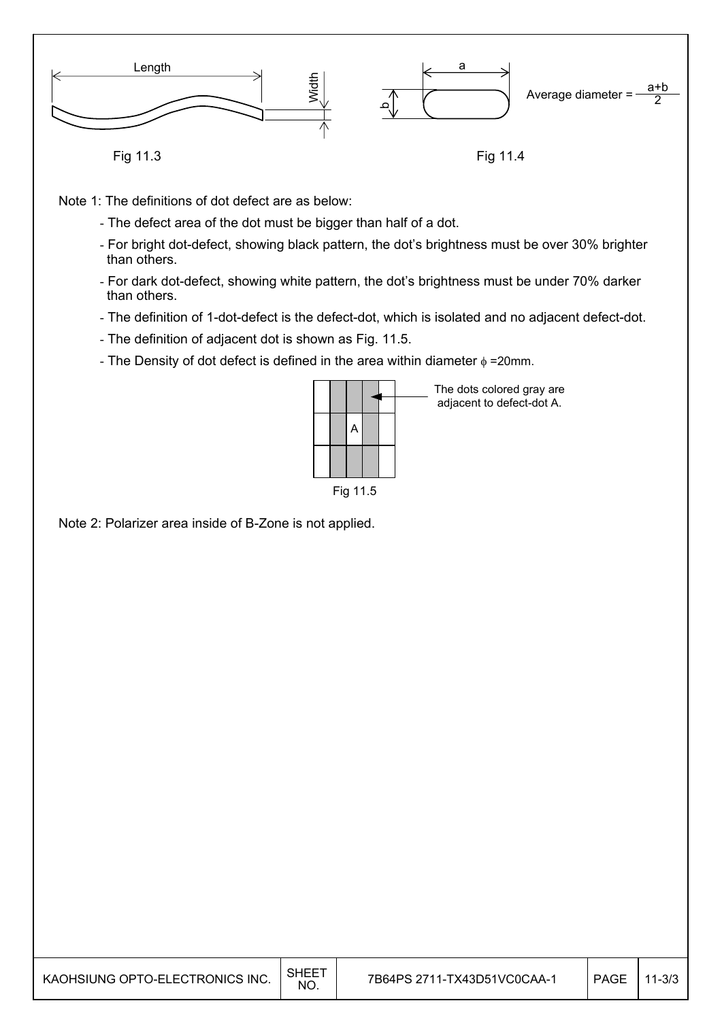

Fig 11.3

Fig 11.4

Note 1: The definitions of dot defect are as below:

- The defect area of the dot must be bigger than half of a dot.
- For bright dot-defect, showing black pattern, the dot's brightness must be over 30% brighter than others.
- For dark dot-defect, showing white pattern, the dot's brightness must be under 70% darker than others.
- The definition of 1-dot-defect is the defect-dot, which is isolated and no adjacent defect-dot.
- The definition of adjacent dot is shown as Fig. 11.5.
- The Density of dot defect is defined in the area within diameter  $\phi$  =20mm.

|          |  | A |  |  |  |  |  |  |
|----------|--|---|--|--|--|--|--|--|
|          |  |   |  |  |  |  |  |  |
| Fig 11.5 |  |   |  |  |  |  |  |  |

The dots colored gray are adjacent to defect-dot A.

Note 2: Polarizer area inside of B-Zone is not applied.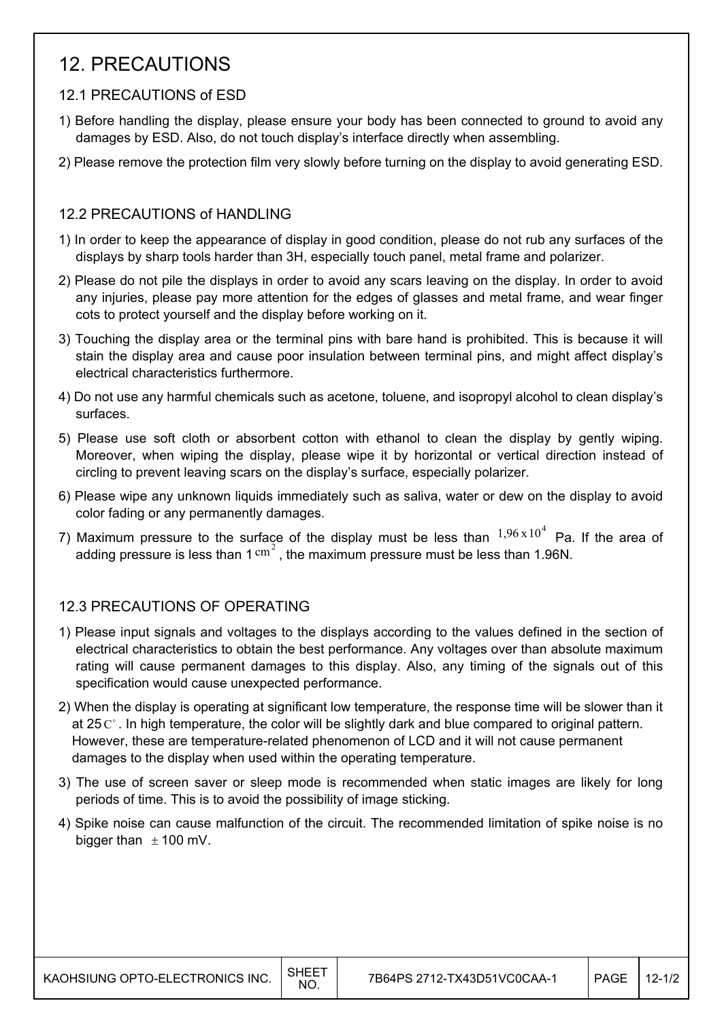## 12. PRECAUTIONS

## 12.1 PRECAUTIONS of ESD

- 1) Before handling the display, please ensure your body has been connected to ground to avoid any damages by ESD. Also, do not touch display's interface directly when assembling.
- 2) Please remove the protection film very slowly before turning on the display to avoid generating ESD.

## 12.2 PRECAUTIONS of HANDLING

- 1) In order to keep the appearance of display in good condition, please do not rub any surfaces of the displays by sharp tools harder than 3H, especially touch panel, metal frame and polarizer.
- 2) Please do not pile the displays in order to avoid any scars leaving on the display. In order to avoid any injuries, please pay more attention for the edges of glasses and metal frame, and wear finger cots to protect yourself and the display before working on it.
- 3) Touching the display area or the terminal pins with bare hand is prohibited. This is because it will stain the display area and cause poor insulation between terminal pins, and might affect display's electrical characteristics furthermore.
- 4) Do not use any harmful chemicals such as acetone, toluene, and isopropyl alcohol to clean display's surfaces.
- 5) Please use soft cloth or absorbent cotton with ethanol to clean the display by gently wiping. Moreover, when wiping the display, please wipe it by horizontal or vertical direction instead of circling to prevent leaving scars on the display's surface, especially polarizer.
- 6) Please wipe any unknown liquids immediately such as saliva, water or dew on the display to avoid color fading or any permanently damages.
- 7) Maximum pressure to the surface of the display must be less than  $1,96 \times 10^4$  Pa. If the area of adding pressure is less than  $1 \text{ cm}^2$ , the maximum pressure must be less than 1.96N.

## 12.3 PRECAUTIONS OF OPERATING

- 1) Please input signals and voltages to the displays according to the values defined in the section of electrical characteristics to obtain the best performance. Any voltages over than absolute maximum rating will cause permanent damages to this display. Also, any timing of the signals out of this specification would cause unexpected performance.
- 2) When the display is operating at significant low temperature, the response time will be slower than it at 25  $\mathrm{C}^{\circ}$ . In high temperature, the color will be slightly dark and blue compared to original pattern. However, these are temperature-related phenomenon of LCD and it will not cause permanent damages to the display when used within the operating temperature.
- 3) The use of screen saver or sleep mode is recommended when static images are likely for long periods of time. This is to avoid the possibility of image sticking.
- 4) Spike noise can cause malfunction of the circuit. The recommended limitation of spike noise is no bigger than  $\pm$  100 mV.

 $\mathsf{I}$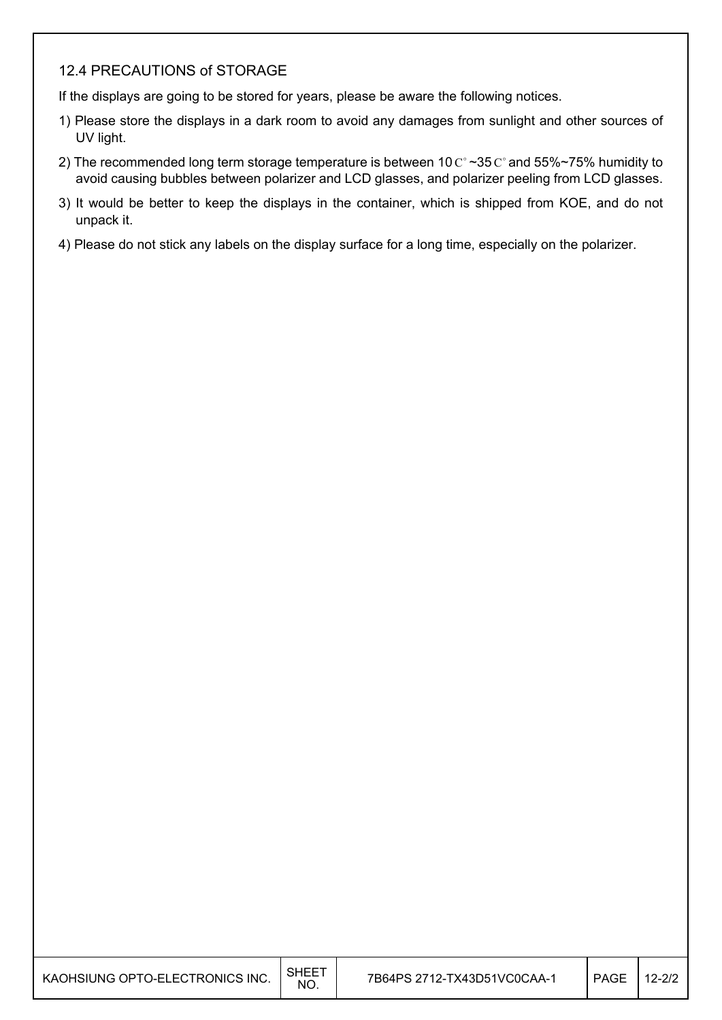#### 12.4 PRECAUTIONS of STORAGE

If the displays are going to be stored for years, please be aware the following notices.

- 1) Please store the displays in a dark room to avoid any damages from sunlight and other sources of UV light.
- 2) The recommended long term storage temperature is between 10  $C^{\circ}$  ~35  $C^{\circ}$  and 55%~75% humidity to avoid causing bubbles between polarizer and LCD glasses, and polarizer peeling from LCD glasses.
- 3) It would be better to keep the displays in the container, which is shipped from KOE, and do not unpack it.
- 4) Please do not stick any labels on the display surface for a long time, especially on the polarizer.